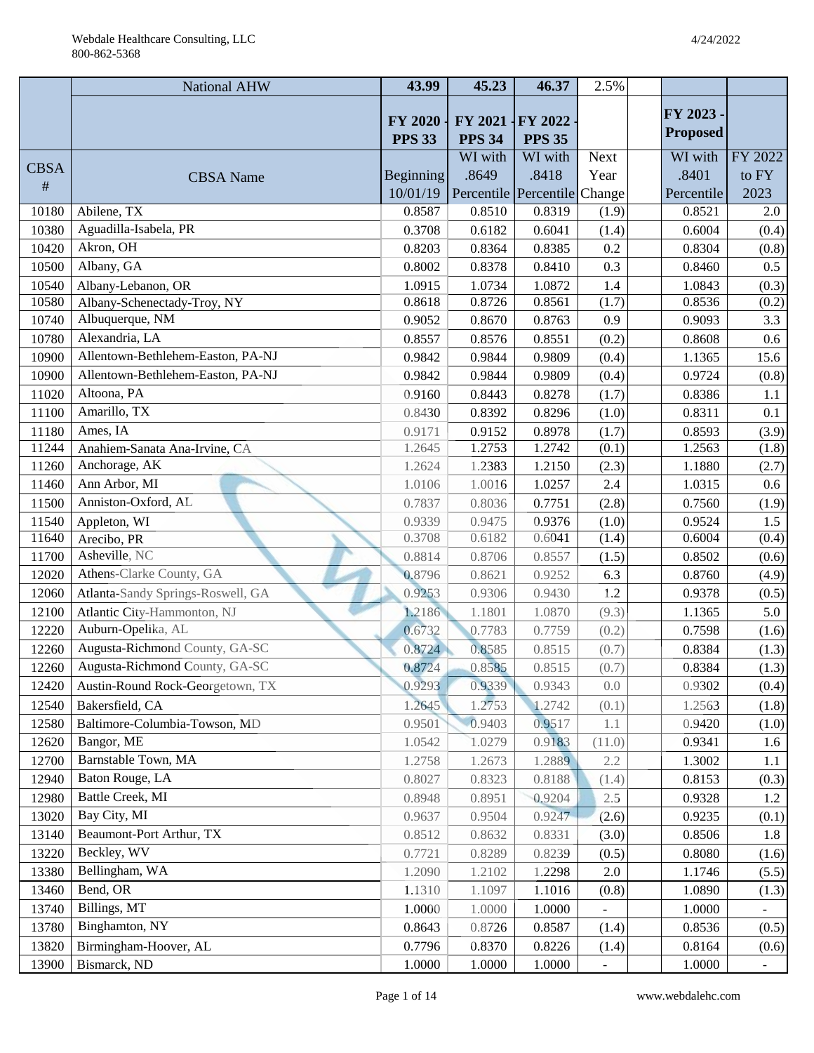|             | National AHW                      | 43.99                           | 45.23                      | 46.37                        | 2.5%        |                 |                  |
|-------------|-----------------------------------|---------------------------------|----------------------------|------------------------------|-------------|-----------------|------------------|
|             |                                   |                                 |                            |                              |             | FY 2023 -       |                  |
|             |                                   | <b>FY 2020</b><br><b>PPS 33</b> | $FY$ 2021<br><b>PPS 34</b> | FY 2022<br><b>PPS 35</b>     |             | <b>Proposed</b> |                  |
|             |                                   |                                 | WI with                    | WI with                      | <b>Next</b> | WI with         | FY 2022          |
| <b>CBSA</b> | <b>CBSA</b> Name                  | Beginning                       | .8649                      | .8418                        | Year        | .8401           | to FY            |
| #           |                                   | 10/01/19                        |                            | Percentile Percentile Change |             | Percentile      | 2023             |
| 10180       | Abilene, TX                       | 0.8587                          | 0.8510                     | 0.8319                       | (1.9)       | 0.8521          | $\overline{2.0}$ |
| 10380       | Aguadilla-Isabela, PR             | 0.3708                          | 0.6182                     | 0.6041                       | (1.4)       | 0.6004          | (0.4)            |
| 10420       | Akron, OH                         | 0.8203                          | 0.8364                     | 0.8385                       | 0.2         | 0.8304          | (0.8)            |
| 10500       | Albany, GA                        | 0.8002                          | 0.8378                     | 0.8410                       | 0.3         | 0.8460          | 0.5              |
| 10540       | Albany-Lebanon, OR                | 1.0915                          | 1.0734                     | 1.0872                       | 1.4         | 1.0843          | (0.3)            |
| 10580       | Albany-Schenectady-Troy, NY       | 0.8618                          | 0.8726                     | 0.8561                       | (1.7)       | 0.8536          | (0.2)            |
| 10740       | Albuquerque, NM                   | 0.9052                          | 0.8670                     | 0.8763                       | 0.9         | 0.9093          | 3.3              |
| 10780       | Alexandria, LA                    | 0.8557                          | 0.8576                     | 0.8551                       | (0.2)       | 0.8608          | 0.6              |
| 10900       | Allentown-Bethlehem-Easton, PA-NJ | 0.9842                          | 0.9844                     | 0.9809                       | (0.4)       | 1.1365          | 15.6             |
| 10900       | Allentown-Bethlehem-Easton, PA-NJ | 0.9842                          | 0.9844                     | 0.9809                       | (0.4)       | 0.9724          | (0.8)            |
| 11020       | Altoona, PA                       | 0.9160                          | 0.8443                     | 0.8278                       | (1.7)       | 0.8386          | 1.1              |
| 11100       | Amarillo, TX                      | 0.8430                          | 0.8392                     | 0.8296                       | (1.0)       | 0.8311          | 0.1              |
| 11180       | Ames, IA                          | 0.9171                          | 0.9152                     | 0.8978                       | (1.7)       | 0.8593          | (3.9)            |
| 11244       | Anahiem-Sanata Ana-Irvine, CA     | 1.2645                          | 1.2753                     | 1.2742                       | (0.1)       | 1.2563          | (1.8)            |
| 11260       | Anchorage, AK                     | 1.2624                          | 1.2383                     | 1.2150                       | (2.3)       | 1.1880          | (2.7)            |
| 11460       | Ann Arbor, MI                     | 1.0106                          | 1.0016                     | 1.0257                       | 2.4         | 1.0315          | 0.6              |
| 11500       | Anniston-Oxford, AL               | 0.7837                          | 0.8036                     | 0.7751                       | (2.8)       | 0.7560          | (1.9)            |
| 11540       | Appleton, WI                      | 0.9339                          | 0.9475                     | 0.9376                       | (1.0)       | 0.9524          | 1.5              |
| 11640       | Arecibo, PR                       | 0.3708                          | 0.6182                     | 0.6041                       | (1.4)       | 0.6004          | (0.4)            |
| 11700       | Asheville, NC                     | 0.8814                          | 0.8706                     | 0.8557                       | (1.5)       | 0.8502          | (0.6)            |
| 12020       | Athens-Clarke County, GA          | 0.8796                          | 0.8621                     | 0.9252                       | 6.3         | 0.8760          | (4.9)            |
| 12060       | Atlanta-Sandy Springs-Roswell, GA | 0.9253                          | 0.9306                     | 0.9430                       | 1.2         | 0.9378          | (0.5)            |
| 12100       | Atlantic City-Hammonton, NJ       | 1.2186                          | 1.1801                     | 1.0870                       | (9.3)       | 1.1365          | 5.0              |
| 12220       | Auburn-Opelika, AL                | 0.6732                          | 0.7783                     | 0.7759                       | (0.2)       | 0.7598          | (1.6)            |
| 12260       | Augusta-Richmond County, GA-SC    | 0.8724                          | 0.8585                     | 0.8515                       | (0.7)       | 0.8384          | (1.3)            |
| 12260       | Augusta-Richmond County, GA-SC    | 0.8724                          | 0.8585                     | 0.8515                       | (0.7)       | 0.8384          | (1.3)            |
| 12420       | Austin-Round Rock-Georgetown, TX  | 0.9293                          | 0.9339                     | 0.9343                       | 0.0         | 0.9302          | (0.4)            |
| 12540       | Bakersfield, CA                   | 1.2645                          | 1.2753                     | 1.2742                       | (0.1)       | 1.2563          | (1.8)            |
| 12580       | Baltimore-Columbia-Towson, MD     | 0.9501                          | 0.9403                     | 0.9517                       | 1.1         | 0.9420          | (1.0)            |
| 12620       | Bangor, ME                        | 1.0542                          | 1.0279                     | 0.9183                       | (11.0)      | 0.9341          | 1.6              |
| 12700       | Barnstable Town, MA               | 1.2758                          | 1.2673                     | 1.2889                       | 2.2         | 1.3002          | 1.1              |
| 12940       | Baton Rouge, LA                   | 0.8027                          | 0.8323                     | 0.8188                       | (1.4)       | 0.8153          | (0.3)            |
| 12980       | Battle Creek, MI                  | 0.8948                          | 0.8951                     | 0.9204                       | $2.5\,$     | 0.9328          | 1.2              |
| 13020       | Bay City, MI                      | 0.9637                          | 0.9504                     | 0.9247                       | (2.6)       | 0.9235          | (0.1)            |
| 13140       | Beaumont-Port Arthur, TX          | 0.8512                          | 0.8632                     | 0.8331                       | (3.0)       | 0.8506          | 1.8              |
| 13220       | Beckley, WV                       | 0.7721                          | 0.8289                     | 0.8239                       | (0.5)       | 0.8080          | (1.6)            |
| 13380       | Bellingham, WA                    | 1.2090                          | 1.2102                     | 1.2298                       | 2.0         | 1.1746          | (5.5)            |
| 13460       | Bend, OR                          | 1.1310                          | 1.1097                     | 1.1016                       | (0.8)       | 1.0890          | (1.3)            |
| 13740       | Billings, MT                      | 1.0000                          | 1.0000                     | 1.0000                       |             | 1.0000          |                  |
| 13780       | Binghamton, NY                    | 0.8643                          | 0.8726                     | 0.8587                       | (1.4)       | 0.8536          | (0.5)            |
| 13820       | Birmingham-Hoover, AL             | 0.7796                          | 0.8370                     | 0.8226                       | (1.4)       | 0.8164          | (0.6)            |
| 13900       | Bismarck, ND                      | 1.0000                          | 1.0000                     | 1.0000                       |             | 1.0000          |                  |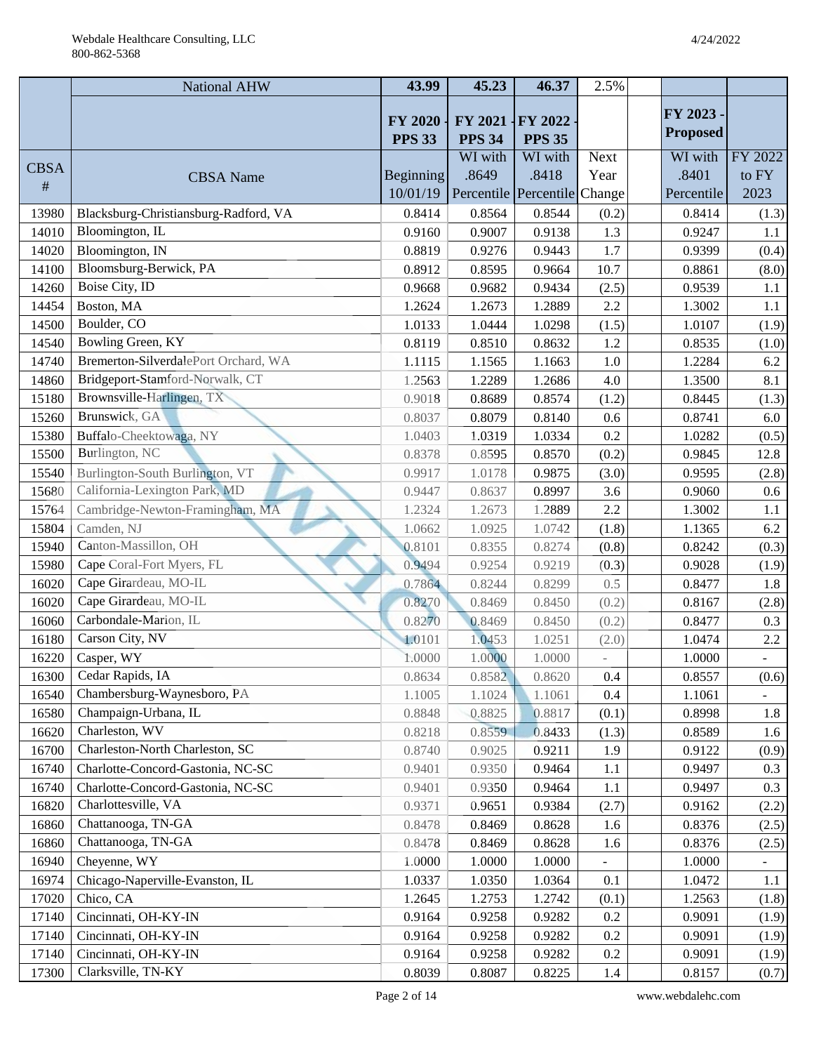|             | <b>National AHW</b>                   | 43.99                           | 45.23                           | 46.37                        | 2.5%        |                 |                |
|-------------|---------------------------------------|---------------------------------|---------------------------------|------------------------------|-------------|-----------------|----------------|
|             |                                       |                                 |                                 |                              |             | FY 2023         |                |
|             |                                       | <b>FY 2020</b><br><b>PPS 33</b> | <b>FY 2021</b><br><b>PPS 34</b> | FY 2022<br><b>PPS 35</b>     |             | <b>Proposed</b> |                |
|             |                                       |                                 | WI with                         | WI with                      | <b>Next</b> | WI with         | FY 2022        |
| <b>CBSA</b> | <b>CBSA</b> Name                      | Beginning                       | .8649                           | .8418                        | Year        | .8401           | to FY          |
| #           |                                       | 10/01/19                        |                                 | Percentile Percentile Change |             | Percentile      | 2023           |
| 13980       | Blacksburg-Christiansburg-Radford, VA | 0.8414                          | 0.8564                          | 0.8544                       | (0.2)       | 0.8414          | (1.3)          |
| 14010       | Bloomington, IL                       | 0.9160                          | 0.9007                          | 0.9138                       | 1.3         | 0.9247          | 1.1            |
| 14020       | Bloomington, IN                       | 0.8819                          | 0.9276                          | 0.9443                       | 1.7         | 0.9399          | (0.4)          |
| 14100       | Bloomsburg-Berwick, PA                | 0.8912                          | 0.8595                          | 0.9664                       | 10.7        | 0.8861          | (8.0)          |
| 14260       | Boise City, ID                        | 0.9668                          | 0.9682                          | 0.9434                       | (2.5)       | 0.9539          | 1.1            |
| 14454       | Boston, MA                            | 1.2624                          | 1.2673                          | 1.2889                       | 2.2         | 1.3002          | 1.1            |
| 14500       | Boulder, CO                           | 1.0133                          | 1.0444                          | 1.0298                       | (1.5)       | 1.0107          | (1.9)          |
| 14540       | Bowling Green, KY                     | 0.8119                          | 0.8510                          | 0.8632                       | 1.2         | 0.8535          | (1.0)          |
| 14740       | Bremerton-SilverdalePort Orchard, WA  | 1.1115                          | 1.1565                          | 1.1663                       | 1.0         | 1.2284          | 6.2            |
| 14860       | Bridgeport-Stamford-Norwalk, CT       | 1.2563                          | 1.2289                          | 1.2686                       | 4.0         | 1.3500          | 8.1            |
| 15180       | Brownsville-Harlingen, TX             | 0.9018                          | 0.8689                          | 0.8574                       | (1.2)       | 0.8445          | (1.3)          |
| 15260       | Brunswick, GA                         | 0.8037                          | 0.8079                          | 0.8140                       | 0.6         | 0.8741          | 6.0            |
| 15380       | Buffalo-Cheektowaga, NY               | 1.0403                          | 1.0319                          | 1.0334                       | 0.2         | 1.0282          | (0.5)          |
| 15500       | Burlington, NC                        | 0.8378                          | 0.8595                          | 0.8570                       | (0.2)       | 0.9845          | 12.8           |
| 15540       | Burlington-South Burlington, VT       | 0.9917                          | 1.0178                          | 0.9875                       | (3.0)       | 0.9595          | (2.8)          |
| 15680       | California-Lexington Park, MD         | 0.9447                          | 0.8637                          | 0.8997                       | 3.6         | 0.9060          | 0.6            |
| 15764       | Cambridge-Newton-Framingham, MA       | 1.2324                          | 1.2673                          | 1.2889                       | 2.2         | 1.3002          | 1.1            |
| 15804       | Camden, NJ                            | 1.0662                          | 1.0925                          | 1.0742                       | (1.8)       | 1.1365          | 6.2            |
| 15940       | Canton-Massillon, OH                  | 0.8101                          | 0.8355                          | 0.8274                       | (0.8)       | 0.8242          | (0.3)          |
| 15980       | Cape Coral-Fort Myers, FL             | 0.9494                          | 0.9254                          | 0.9219                       | (0.3)       | 0.9028          | (1.9)          |
| 16020       | Cape Girardeau, MO-IL                 | 0.7864                          | 0.8244                          | 0.8299                       | 0.5         | 0.8477          | 1.8            |
| 16020       | Cape Girardeau, MO-IL                 | 0.8270                          | 0.8469                          | 0.8450                       | (0.2)       | 0.8167          | (2.8)          |
| 16060       | Carbondale-Marion, IL                 | 0.8270                          | 0.8469                          | 0.8450                       | (0.2)       | 0.8477          | 0.3            |
| 16180       | Carson City, NV                       | 1.0101                          | 1.0453                          | 1.0251                       | (2.0)       | 1.0474          | $2.2\,$        |
| 16220       | Casper, WY                            | 1.0000                          | 1.0000                          | 1.0000                       |             | 1.0000          | $\blacksquare$ |
| 16300       | Cedar Rapids, IA                      | 0.8634                          | 0.8582                          | 0.8620                       | 0.4         | 0.8557          | (0.6)          |
| 16540       | Chambersburg-Waynesboro, PA           | 1.1005                          | 1.1024                          | 1.1061                       | 0.4         | 1.1061          |                |
| 16580       | Champaign-Urbana, IL                  | 0.8848                          | 0.8825                          | 0.8817                       | (0.1)       | 0.8998          | 1.8            |
| 16620       | Charleston, WV                        | 0.8218                          | 0.8559                          | 0.8433                       | (1.3)       | 0.8589          | 1.6            |
| 16700       | Charleston-North Charleston, SC       | 0.8740                          | 0.9025                          | 0.9211                       | 1.9         | 0.9122          | (0.9)          |
| 16740       | Charlotte-Concord-Gastonia, NC-SC     | 0.9401                          | 0.9350                          | 0.9464                       | 1.1         | 0.9497          | 0.3            |
| 16740       | Charlotte-Concord-Gastonia, NC-SC     | 0.9401                          | 0.9350                          | 0.9464                       | 1.1         | 0.9497          | 0.3            |
| 16820       | Charlottesville, VA                   | 0.9371                          | 0.9651                          | 0.9384                       | (2.7)       | 0.9162          | (2.2)          |
| 16860       | Chattanooga, TN-GA                    | 0.8478                          | 0.8469                          | 0.8628                       | 1.6         | 0.8376          | (2.5)          |
| 16860       | Chattanooga, TN-GA                    | 0.8478                          | 0.8469                          | 0.8628                       | 1.6         | 0.8376          | (2.5)          |
| 16940       | Cheyenne, WY                          | 1.0000                          | 1.0000                          | 1.0000                       |             | 1.0000          |                |
| 16974       | Chicago-Naperville-Evanston, IL       | 1.0337                          | 1.0350                          | 1.0364                       | 0.1         | 1.0472          | 1.1            |
| 17020       | Chico, CA                             | 1.2645                          | 1.2753                          | 1.2742                       | (0.1)       | 1.2563          | (1.8)          |
| 17140       | Cincinnati, OH-KY-IN                  | 0.9164                          | 0.9258                          | 0.9282                       | 0.2         | 0.9091          | (1.9)          |
| 17140       | Cincinnati, OH-KY-IN                  | 0.9164                          | 0.9258                          | 0.9282                       | 0.2         | 0.9091          | (1.9)          |
| 17140       | Cincinnati, OH-KY-IN                  | 0.9164                          | 0.9258                          | 0.9282                       | 0.2         | 0.9091          | (1.9)          |
| 17300       | Clarksville, TN-KY                    | 0.8039                          | 0.8087                          | 0.8225                       | 1.4         | 0.8157          | (0.7)          |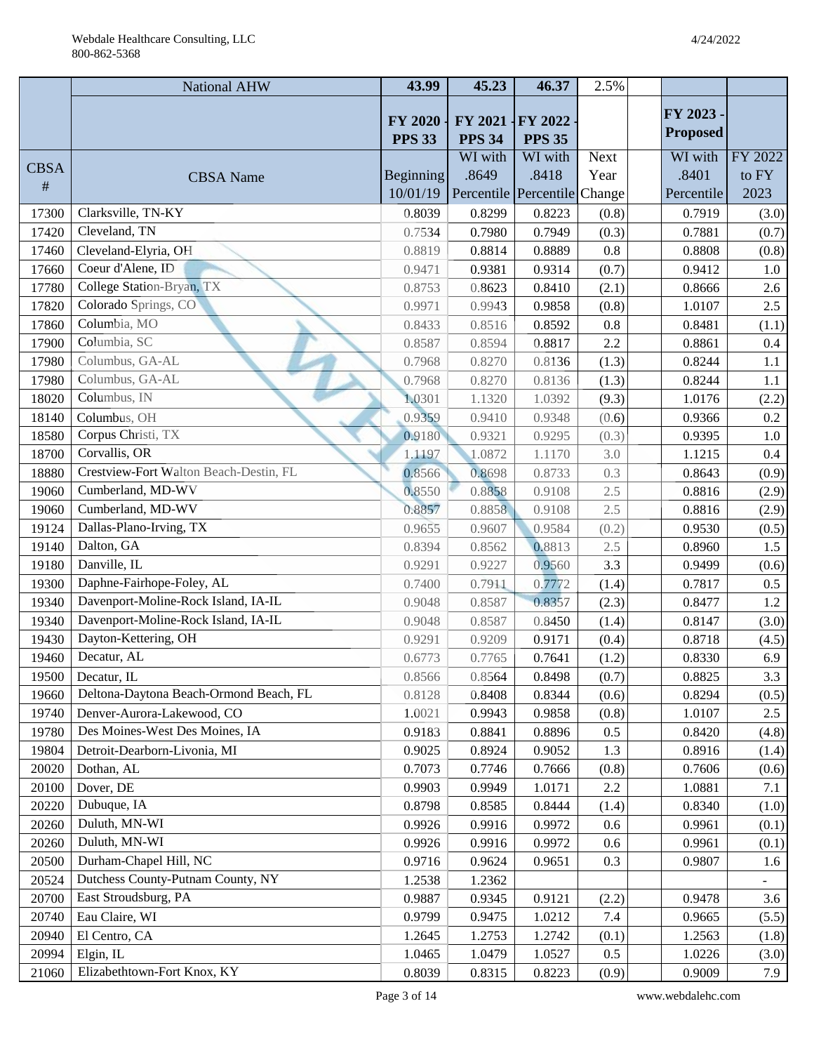|             | <b>National AHW</b>                    | 43.99                           | 45.23                        | 46.37                    | 2.5%        |                 |         |
|-------------|----------------------------------------|---------------------------------|------------------------------|--------------------------|-------------|-----------------|---------|
|             |                                        |                                 |                              |                          |             | FY 2023         |         |
|             |                                        | <b>FY 2020</b><br><b>PPS 33</b> | FY 2021<br><b>PPS 34</b>     | FY 2022<br><b>PPS 35</b> |             | <b>Proposed</b> |         |
|             |                                        |                                 | WI with                      | WI with                  | <b>Next</b> | WI with         | FY 2022 |
| <b>CBSA</b> | <b>CBSA</b> Name                       | <b>Beginning</b>                | .8649                        | .8418                    | Year        | .8401           | to FY   |
| #           |                                        | 10/01/19                        | Percentile Percentile Change |                          |             | Percentile      | 2023    |
| 17300       | Clarksville, TN-KY                     | 0.8039                          | 0.8299                       | 0.8223                   | (0.8)       | 0.7919          | (3.0)   |
| 17420       | Cleveland, TN                          | 0.7534                          | 0.7980                       | 0.7949                   | (0.3)       | 0.7881          | (0.7)   |
| 17460       | Cleveland-Elyria, OH                   | 0.8819                          | 0.8814                       | 0.8889                   | 0.8         | 0.8808          | (0.8)   |
| 17660       | Coeur d'Alene, ID                      | 0.9471                          | 0.9381                       | 0.9314                   | (0.7)       | 0.9412          | 1.0     |
| 17780       | College Station-Bryan, TX              | 0.8753                          | 0.8623                       | 0.8410                   | (2.1)       | 0.8666          | 2.6     |
| 17820       | Colorado Springs, CO                   | 0.9971                          | 0.9943                       | 0.9858                   | (0.8)       | 1.0107          | 2.5     |
| 17860       | Columbia, MO                           | 0.8433                          | 0.8516                       | 0.8592                   | 0.8         | 0.8481          | (1.1)   |
| 17900       | Columbia, SC                           | 0.8587                          | 0.8594                       | 0.8817                   | 2.2         | 0.8861          | 0.4     |
| 17980       | Columbus, GA-AL                        | 0.7968                          | 0.8270                       | 0.8136                   | (1.3)       | 0.8244          | 1.1     |
| 17980       | Columbus, GA-AL                        | 0.7968                          | 0.8270                       | 0.8136                   | (1.3)       | 0.8244          | 1.1     |
| 18020       | Columbus, IN                           | 1.0301                          | 1.1320                       | 1.0392                   | (9.3)       | 1.0176          | (2.2)   |
| 18140       | Columbus, OH                           | 0.9359                          | 0.9410                       | 0.9348                   | (0.6)       | 0.9366          | 0.2     |
| 18580       | Corpus Christi, TX                     | 0.9180                          | 0.9321                       | 0.9295                   | (0.3)       | 0.9395          | $1.0\,$ |
| 18700       | Corvallis, OR                          | 1.1197                          | 1.0872                       | 1.1170                   | 3.0         | 1.1215          | $0.4\,$ |
| 18880       | Crestview-Fort Walton Beach-Destin, FL | 0.8566                          | 0.8698                       | 0.8733                   | 0.3         | 0.8643          | (0.9)   |
| 19060       | Cumberland, MD-WV                      | 0.8550                          | 0.8858                       | 0.9108                   | 2.5         | 0.8816          | (2.9)   |
| 19060       | Cumberland, MD-WV                      | 0.8857                          | 0.8858                       | 0.9108                   | 2.5         | 0.8816          | (2.9)   |
| 19124       | Dallas-Plano-Irving, TX                | 0.9655                          | 0.9607                       | 0.9584                   | (0.2)       | 0.9530          | (0.5)   |
| 19140       | Dalton, GA                             | 0.8394                          | 0.8562                       | 0.8813                   | 2.5         | 0.8960          | 1.5     |
| 19180       | Danville, IL                           | 0.9291                          | 0.9227                       | 0.9560                   | 3.3         | 0.9499          | (0.6)   |
| 19300       | Daphne-Fairhope-Foley, AL              | 0.7400                          | 0.7911                       | 0.7772                   | (1.4)       | 0.7817          | 0.5     |
| 19340       | Davenport-Moline-Rock Island, IA-IL    | 0.9048                          | 0.8587                       | 0.8357                   | (2.3)       | 0.8477          | 1.2     |
| 19340       | Davenport-Moline-Rock Island, IA-IL    | 0.9048                          | 0.8587                       | 0.8450                   | (1.4)       | 0.8147          | (3.0)   |
| 19430       | Dayton-Kettering, OH                   | 0.9291                          | 0.9209                       | 0.9171                   | (0.4)       | 0.8718          | (4.5)   |
| 19460       | Decatur, AL                            | 0.6773                          | 0.7765                       | 0.7641                   | (1.2)       | 0.8330          | 6.9     |
| 19500       | Decatur, IL                            | 0.8566                          | 0.8564                       | 0.8498                   | (0.7)       | 0.8825          | 3.3     |
| 19660       | Deltona-Daytona Beach-Ormond Beach, FL | 0.8128                          | 0.8408                       | 0.8344                   | (0.6)       | 0.8294          | (0.5)   |
| 19740       | Denver-Aurora-Lakewood, CO             | 1.0021                          | 0.9943                       | 0.9858                   | (0.8)       | 1.0107          | 2.5     |
| 19780       | Des Moines-West Des Moines, IA         | 0.9183                          | 0.8841                       | 0.8896                   | 0.5         | 0.8420          | (4.8)   |
| 19804       | Detroit-Dearborn-Livonia, MI           | 0.9025                          | 0.8924                       | 0.9052                   | 1.3         | 0.8916          | (1.4)   |
| 20020       | Dothan, AL                             | 0.7073                          | 0.7746                       | 0.7666                   | (0.8)       | 0.7606          | (0.6)   |
| 20100       | Dover, DE                              | 0.9903                          | 0.9949                       | 1.0171                   | 2.2         | 1.0881          | 7.1     |
| 20220       | Dubuque, IA                            | 0.8798                          | 0.8585                       | 0.8444                   | (1.4)       | 0.8340          | (1.0)   |
| 20260       | Duluth, MN-WI                          | 0.9926                          | 0.9916                       | 0.9972                   | 0.6         | 0.9961          | (0.1)   |
| 20260       | Duluth, MN-WI                          | 0.9926                          | 0.9916                       | 0.9972                   | 0.6         | 0.9961          | (0.1)   |
| 20500       | Durham-Chapel Hill, NC                 | 0.9716                          | 0.9624                       | 0.9651                   | 0.3         | 0.9807          | 1.6     |
| 20524       | Dutchess County-Putnam County, NY      | 1.2538                          | 1.2362                       |                          |             |                 | Ξ.      |
| 20700       | East Stroudsburg, PA                   | 0.9887                          | 0.9345                       | 0.9121                   | (2.2)       | 0.9478          | 3.6     |
| 20740       | Eau Claire, WI                         | 0.9799                          | 0.9475                       | 1.0212                   | 7.4         | 0.9665          | (5.5)   |
| 20940       | El Centro, CA                          | 1.2645                          | 1.2753                       | 1.2742                   | (0.1)       | 1.2563          | (1.8)   |
| 20994       | Elgin, IL                              | 1.0465                          | 1.0479                       | 1.0527                   | 0.5         | 1.0226          | (3.0)   |
| 21060       | Elizabethtown-Fort Knox, KY            | 0.8039                          | 0.8315                       | 0.8223                   | (0.9)       | 0.9009          | 7.9     |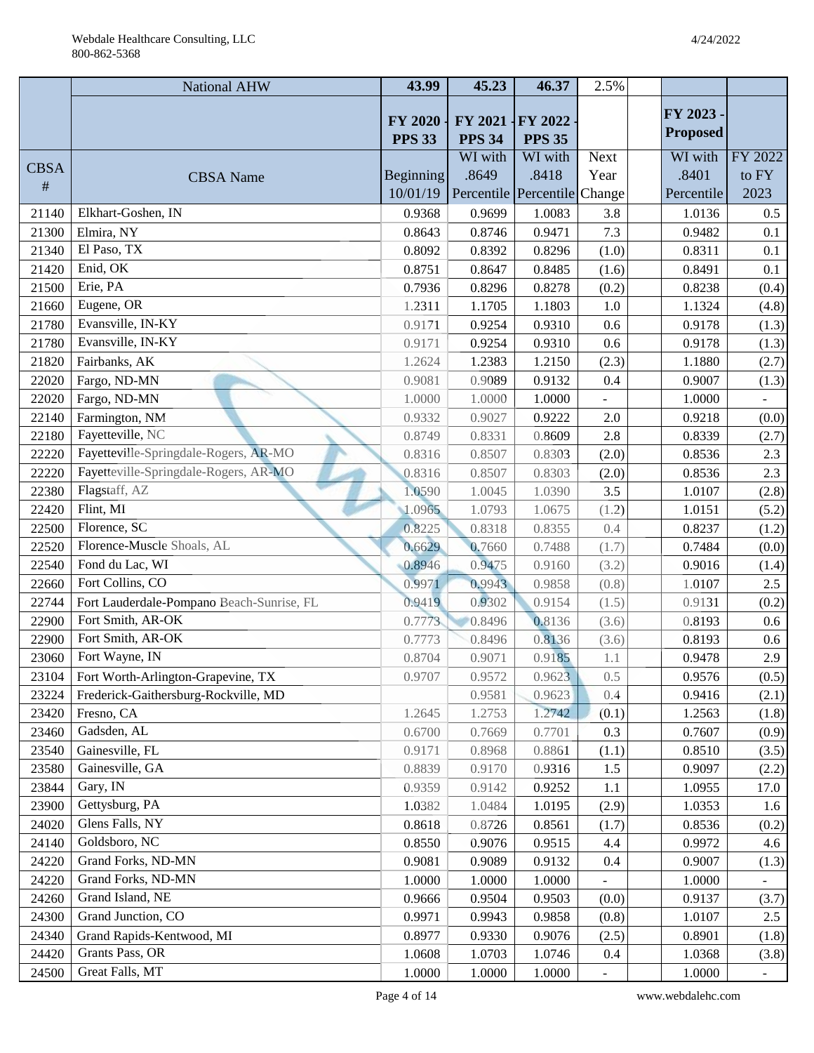|             | National AHW                              | 43.99                           | 45.23                    | 46.37                        | 2.5%                     |                 |                          |
|-------------|-------------------------------------------|---------------------------------|--------------------------|------------------------------|--------------------------|-----------------|--------------------------|
|             |                                           |                                 |                          |                              |                          | FY 2023 -       |                          |
|             |                                           | <b>FY 2020</b><br><b>PPS 33</b> | FY 2021<br><b>PPS 34</b> | FY 2022<br><b>PPS 35</b>     |                          | <b>Proposed</b> |                          |
|             |                                           |                                 | WI with                  | WI with                      | <b>Next</b>              | WI with         | FY 2022                  |
| <b>CBSA</b> | <b>CBSA</b> Name                          | Beginning                       | .8649                    | .8418                        | Year                     | .8401           | to FY                    |
| #           |                                           | 10/01/19                        |                          | Percentile Percentile Change |                          | Percentile      | 2023                     |
| 21140       | Elkhart-Goshen, IN                        | 0.9368                          | 0.9699                   | 1.0083                       | 3.8                      | 1.0136          | $0.5\,$                  |
| 21300       | Elmira, NY                                | 0.8643                          | 0.8746                   | 0.9471                       | 7.3                      | 0.9482          | 0.1                      |
| 21340       | El Paso, TX                               | 0.8092                          | 0.8392                   | 0.8296                       | (1.0)                    | 0.8311          | 0.1                      |
| 21420       | Enid, OK                                  | 0.8751                          | 0.8647                   | 0.8485                       | (1.6)                    | 0.8491          | 0.1                      |
| 21500       | Erie, PA                                  | 0.7936                          | 0.8296                   | 0.8278                       | (0.2)                    | 0.8238          | (0.4)                    |
| 21660       | Eugene, OR                                | 1.2311                          | 1.1705                   | 1.1803                       | 1.0                      | 1.1324          | (4.8)                    |
| 21780       | Evansville, IN-KY                         | 0.9171                          | 0.9254                   | 0.9310                       | 0.6                      | 0.9178          | (1.3)                    |
| 21780       | Evansville, IN-KY                         | 0.9171                          | 0.9254                   | 0.9310                       | 0.6                      | 0.9178          | (1.3)                    |
| 21820       | Fairbanks, AK                             | 1.2624                          | 1.2383                   | 1.2150                       | (2.3)                    | 1.1880          | (2.7)                    |
| 22020       | Fargo, ND-MN                              | 0.9081                          | 0.9089                   | 0.9132                       | 0.4                      | 0.9007          | (1.3)                    |
| 22020       | Fargo, ND-MN                              | 1.0000                          | 1.0000                   | 1.0000                       |                          | 1.0000          |                          |
| 22140       | Farmington, NM                            | 0.9332                          | 0.9027                   | 0.9222                       | 2.0                      | 0.9218          | (0.0)                    |
| 22180       | Fayetteville, NC                          | 0.8749                          | 0.8331                   | 0.8609                       | 2.8                      | 0.8339          | (2.7)                    |
| 22220       | Fayetteville-Springdale-Rogers, AR-MO     | 0.8316                          | 0.8507                   | 0.8303                       | (2.0)                    | 0.8536          | 2.3                      |
| 22220       | Fayetteville-Springdale-Rogers, AR-MO     | 0.8316                          | 0.8507                   | 0.8303                       | (2.0)                    | 0.8536          | 2.3                      |
| 22380       | Flagstaff, AZ                             | 1.0590                          | 1.0045                   | 1.0390                       | 3.5                      | 1.0107          | (2.8)                    |
| 22420       | Flint, MI                                 | 1.0965                          | 1.0793                   | 1.0675                       | (1.2)                    | 1.0151          | (5.2)                    |
| 22500       | Florence, SC                              | 0.8225                          | 0.8318                   | 0.8355                       | 0.4                      | 0.8237          | (1.2)                    |
| 22520       | Florence-Muscle Shoals, AL                | 0.6629                          | 0.7660                   | 0.7488                       | (1.7)                    | 0.7484          | (0.0)                    |
| 22540       | Fond du Lac, WI                           | 0.8946                          | 0.9475                   | 0.9160                       | (3.2)                    | 0.9016          | (1.4)                    |
| 22660       | Fort Collins, CO                          | 0.9971                          | 0.9943                   | 0.9858                       | (0.8)                    | 1.0107          | 2.5                      |
| 22744       | Fort Lauderdale-Pompano Beach-Sunrise, FL | 0.9419                          | 0.9302                   | 0.9154                       | (1.5)                    | 0.9131          | (0.2)                    |
| 22900       | Fort Smith, AR-OK                         | 0.7773                          | 0.8496                   | 0.8136                       | (3.6)                    | 0.8193          | 0.6                      |
| 22900       | Fort Smith, AR-OK                         | 0.7773                          | 0.8496                   | 0.8136                       | (3.6)                    | 0.8193          | 0.6                      |
| 23060       | Fort Wayne, IN                            | 0.8704                          | 0.9071                   | 0.9185                       | 1.1                      | 0.9478          | 2.9                      |
| 23104       | Fort Worth-Arlington-Grapevine, TX        | 0.9707                          | 0.9572                   | 0.9623                       | 0.5                      | 0.9576          | (0.5)                    |
| 23224       | Frederick-Gaithersburg-Rockville, MD      |                                 | 0.9581                   | 0.9623                       | 0.4                      | 0.9416          | (2.1)                    |
| 23420       | Fresno, CA                                | 1.2645                          | 1.2753                   | 1.2742                       | (0.1)                    | 1.2563          | (1.8)                    |
| 23460       | Gadsden, AL                               | 0.6700                          | 0.7669                   | 0.7701                       | 0.3                      | 0.7607          | (0.9)                    |
| 23540       | Gainesville, FL                           | 0.9171                          | 0.8968                   | 0.8861                       | (1.1)                    | 0.8510          | (3.5)                    |
| 23580       | Gainesville, GA                           | 0.8839                          | 0.9170                   | 0.9316                       | 1.5                      | 0.9097          | (2.2)                    |
| 23844       | Gary, IN                                  | 0.9359                          | 0.9142                   | 0.9252                       | 1.1                      | 1.0955          | 17.0                     |
| 23900       | Gettysburg, PA                            | 1.0382                          | 1.0484                   | 1.0195                       | (2.9)                    | 1.0353          | 1.6                      |
| 24020       | Glens Falls, NY                           | 0.8618                          | 0.8726                   | 0.8561                       | (1.7)                    | 0.8536          | (0.2)                    |
| 24140       | Goldsboro, NC                             | 0.8550                          | 0.9076                   | 0.9515                       | 4.4                      | 0.9972          | 4.6                      |
| 24220       | Grand Forks, ND-MN                        | 0.9081                          | 0.9089                   | 0.9132                       | 0.4                      | 0.9007          | (1.3)                    |
| 24220       | Grand Forks, ND-MN                        | 1.0000                          | 1.0000                   | 1.0000                       | $\overline{\phantom{a}}$ | 1.0000          | $\overline{\phantom{a}}$ |
| 24260       | Grand Island, NE                          | 0.9666                          | 0.9504                   | 0.9503                       | (0.0)                    | 0.9137          | (3.7)                    |
| 24300       | Grand Junction, CO                        | 0.9971                          | 0.9943                   | 0.9858                       | (0.8)                    | 1.0107          | 2.5                      |
| 24340       | Grand Rapids-Kentwood, MI                 | 0.8977                          | 0.9330                   | 0.9076                       | (2.5)                    | 0.8901          | (1.8)                    |
| 24420       | Grants Pass, OR                           | 1.0608                          | 1.0703                   | 1.0746                       | 0.4                      | 1.0368          | (3.8)                    |
| 24500       | Great Falls, MT                           | 1.0000                          | 1.0000                   | 1.0000                       |                          | 1.0000          |                          |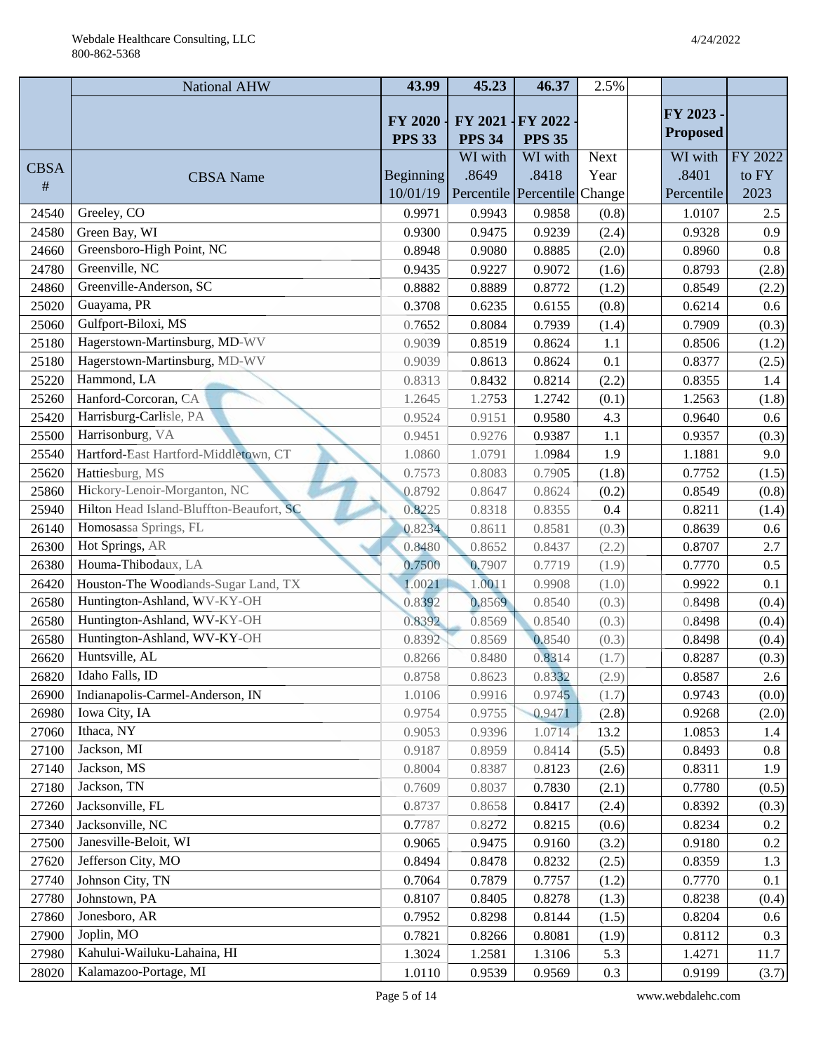|             | National AHW                             | 43.99                           | 45.23                    | 46.37                        | 2.5%        |                 |         |
|-------------|------------------------------------------|---------------------------------|--------------------------|------------------------------|-------------|-----------------|---------|
|             |                                          |                                 |                          |                              |             | FY 2023 -       |         |
|             |                                          | <b>FY 2020</b><br><b>PPS 33</b> | FY 2021<br><b>PPS 34</b> | FY 2022<br><b>PPS 35</b>     |             | <b>Proposed</b> |         |
|             |                                          |                                 | WI with                  | WI with                      | <b>Next</b> | WI with         | FY 2022 |
| <b>CBSA</b> | <b>CBSA</b> Name                         | <b>Beginning</b>                | .8649                    | .8418                        | Year        | .8401           | to FY   |
| #           |                                          | 10/01/19                        |                          | Percentile Percentile Change |             | Percentile      | 2023    |
| 24540       | Greeley, CO                              | 0.9971                          | 0.9943                   | 0.9858                       | (0.8)       | 1.0107          | $2.5\,$ |
| 24580       | Green Bay, WI                            | 0.9300                          | 0.9475                   | 0.9239                       | (2.4)       | 0.9328          | 0.9     |
| 24660       | Greensboro-High Point, NC                | 0.8948                          | 0.9080                   | 0.8885                       | (2.0)       | 0.8960          | $0.8\,$ |
| 24780       | Greenville, NC                           | 0.9435                          | 0.9227                   | 0.9072                       | (1.6)       | 0.8793          | (2.8)   |
| 24860       | Greenville-Anderson, SC                  | 0.8882                          | 0.8889                   | 0.8772                       | (1.2)       | 0.8549          | (2.2)   |
| 25020       | Guayama, PR                              | 0.3708                          | 0.6235                   | 0.6155                       | (0.8)       | 0.6214          | 0.6     |
| 25060       | Gulfport-Biloxi, MS                      | 0.7652                          | 0.8084                   | 0.7939                       | (1.4)       | 0.7909          | (0.3)   |
| 25180       | Hagerstown-Martinsburg, MD-WV            | 0.9039                          | 0.8519                   | 0.8624                       | 1.1         | 0.8506          | (1.2)   |
| 25180       | Hagerstown-Martinsburg, MD-WV            | 0.9039                          | 0.8613                   | 0.8624                       | 0.1         | 0.8377          | (2.5)   |
| 25220       | Hammond, LA                              | 0.8313                          | 0.8432                   | 0.8214                       | (2.2)       | 0.8355          | 1.4     |
| 25260       | Hanford-Corcoran, CA                     | 1.2645                          | 1.2753                   | 1.2742                       | (0.1)       | 1.2563          | (1.8)   |
| 25420       | Harrisburg-Carlisle, PA                  | 0.9524                          | 0.9151                   | 0.9580                       | 4.3         | 0.9640          | 0.6     |
| 25500       | Harrisonburg, VA                         | 0.9451                          | 0.9276                   | 0.9387                       | 1.1         | 0.9357          | (0.3)   |
| 25540       | Hartford-East Hartford-Middletown, CT    | 1.0860                          | 1.0791                   | 1.0984                       | 1.9         | 1.1881          | 9.0     |
| 25620       | Hattiesburg, MS                          | 0.7573                          | 0.8083                   | 0.7905                       | (1.8)       | 0.7752          | (1.5)   |
| 25860       | Hickory-Lenoir-Morganton, NC             | 0.8792                          | 0.8647                   | 0.8624                       | (0.2)       | 0.8549          | (0.8)   |
| 25940       | Hilton Head Island-Bluffton-Beaufort, SC | 0.8225                          | 0.8318                   | 0.8355                       | 0.4         | 0.8211          | (1.4)   |
| 26140       | Homosassa Springs, FL                    | 0.8234                          | 0.8611                   | 0.8581                       | (0.3)       | 0.8639          | 0.6     |
| 26300       | Hot Springs, AR                          | 0.8480                          | 0.8652                   | 0.8437                       | (2.2)       | 0.8707          | 2.7     |
| 26380       | Houma-Thibodaux, LA                      | 0.7500                          | 0.7907                   | 0.7719                       | (1.9)       | 0.7770          | 0.5     |
| 26420       | Houston-The Woodlands-Sugar Land, TX     | 1.0021                          | 1.0011                   | 0.9908                       | (1.0)       | 0.9922          | 0.1     |
| 26580       | Huntington-Ashland, WV-KY-OH             | 0.8392                          | 0.8569                   | 0.8540                       | (0.3)       | 0.8498          | (0.4)   |
| 26580       | Huntington-Ashland, WV-KY-OH             | 0.8392                          | 0.8569                   | 0.8540                       | (0.3)       | 0.8498          | (0.4)   |
| 26580       | Huntington-Ashland, WV-KY-OH             | 0.8392                          | 0.8569                   | 0.8540                       | (0.3)       | 0.8498          | (0.4)   |
| 26620       | Huntsville, AL                           | 0.8266                          | 0.8480                   | 0.8314                       | (1.7)       | 0.8287          | (0.3)   |
| 26820       | Idaho Falls, ID                          | 0.8758                          | 0.8623                   | 0.8332                       | (2.9)       | 0.8587          | 2.6     |
| 26900       | Indianapolis-Carmel-Anderson, IN         | 1.0106                          | 0.9916                   | 0.9745                       | (1.7)       | 0.9743          | (0.0)   |
| 26980       | Iowa City, IA                            | 0.9754                          | 0.9755                   | 0.9471                       | (2.8)       | 0.9268          | (2.0)   |
| 27060       | Ithaca, NY                               | 0.9053                          | 0.9396                   | 1.0714                       | 13.2        | 1.0853          | 1.4     |
| 27100       | Jackson, MI                              | 0.9187                          | 0.8959                   | 0.8414                       | (5.5)       | 0.8493          | 0.8     |
| 27140       | Jackson, MS                              | 0.8004                          | 0.8387                   | 0.8123                       | (2.6)       | 0.8311          | 1.9     |
| 27180       | Jackson, TN                              | 0.7609                          | 0.8037                   | 0.7830                       | (2.1)       | 0.7780          | (0.5)   |
| 27260       | Jacksonville, FL                         | 0.8737                          | 0.8658                   | 0.8417                       | (2.4)       | 0.8392          | (0.3)   |
| 27340       | Jacksonville, NC                         | 0.7787                          | 0.8272                   | 0.8215                       | (0.6)       | 0.8234          | $0.2\,$ |
| 27500       | Janesville-Beloit, WI                    | 0.9065                          | 0.9475                   | 0.9160                       | (3.2)       | 0.9180          | $0.2\,$ |
| 27620       | Jefferson City, MO                       | 0.8494                          | 0.8478                   | 0.8232                       | (2.5)       | 0.8359          | 1.3     |
| 27740       | Johnson City, TN                         | 0.7064                          | 0.7879                   | 0.7757                       | (1.2)       | 0.7770          | 0.1     |
| 27780       | Johnstown, PA                            | 0.8107                          | 0.8405                   | 0.8278                       | (1.3)       | 0.8238          | (0.4)   |
| 27860       | Jonesboro, AR                            | 0.7952                          | 0.8298                   | 0.8144                       | (1.5)       | 0.8204          | 0.6     |
| 27900       | Joplin, MO                               | 0.7821                          | 0.8266                   | 0.8081                       | (1.9)       | 0.8112          | 0.3     |
| 27980       | Kahului-Wailuku-Lahaina, HI              | 1.3024                          | 1.2581                   | 1.3106                       | 5.3         | 1.4271          | 11.7    |
| 28020       | Kalamazoo-Portage, MI                    | 1.0110                          | 0.9539                   | 0.9569                       | 0.3         | 0.9199          | (3.7)   |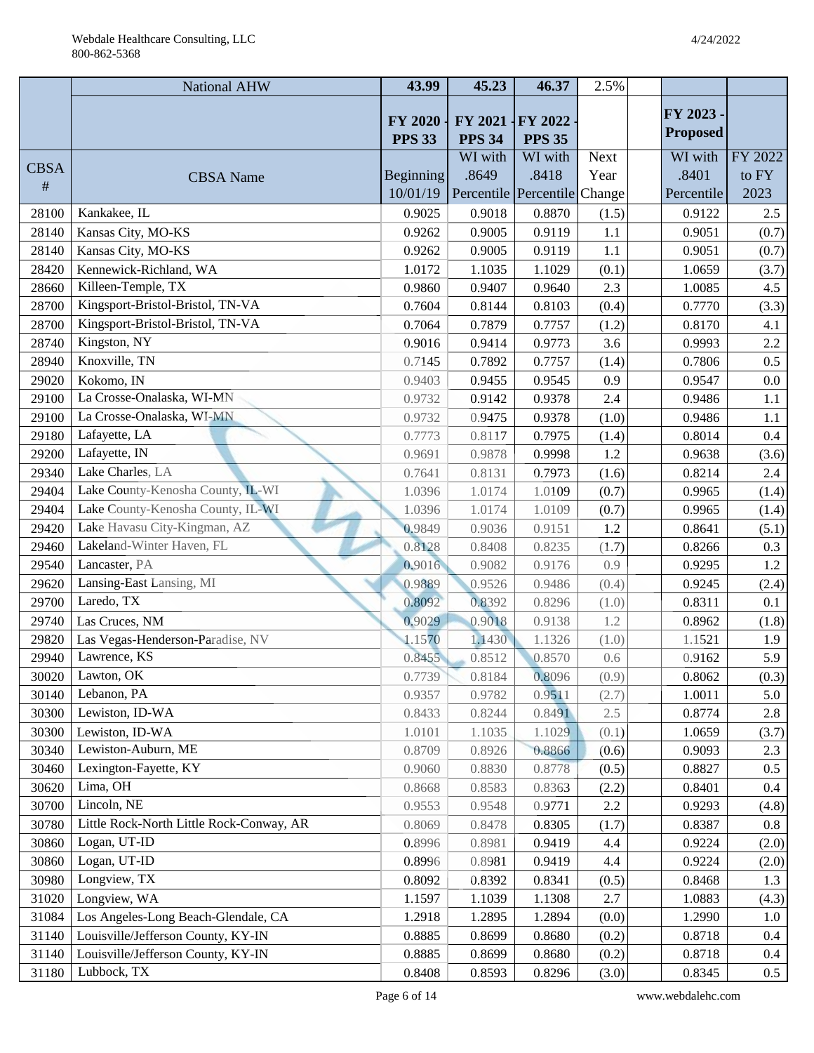|             | <b>National AHW</b>                      | 43.99            | 45.23                        | 46.37                    | 2.5%        |                 |         |
|-------------|------------------------------------------|------------------|------------------------------|--------------------------|-------------|-----------------|---------|
|             |                                          |                  |                              |                          |             | FY 2023 -       |         |
|             |                                          | <b>FY 2020</b>   | FY 2021                      | FY 2022                  |             | <b>Proposed</b> |         |
|             |                                          | <b>PPS 33</b>    | <b>PPS 34</b><br>WI with     | <b>PPS 35</b><br>WI with | <b>Next</b> | WI with         | FY 2022 |
| <b>CBSA</b> | <b>CBSA</b> Name                         | <b>Beginning</b> | .8649                        | .8418                    | Year        | .8401           | to FY   |
| #           |                                          | 10/01/19         | Percentile Percentile Change |                          |             | Percentile      | 2023    |
| 28100       | Kankakee, IL                             | 0.9025           | 0.9018                       | 0.8870                   | (1.5)       | 0.9122          | $2.5\,$ |
| 28140       | Kansas City, MO-KS                       | 0.9262           | 0.9005                       | 0.9119                   | 1.1         | 0.9051          | (0.7)   |
| 28140       | Kansas City, MO-KS                       | 0.9262           | 0.9005                       | 0.9119                   | 1.1         | 0.9051          | (0.7)   |
| 28420       | Kennewick-Richland, WA                   | 1.0172           | 1.1035                       | 1.1029                   | (0.1)       | 1.0659          | (3.7)   |
| 28660       | Killeen-Temple, TX                       | 0.9860           | 0.9407                       | 0.9640                   | 2.3         | 1.0085          | 4.5     |
| 28700       | Kingsport-Bristol-Bristol, TN-VA         | 0.7604           | 0.8144                       | 0.8103                   | (0.4)       | 0.7770          | (3.3)   |
| 28700       | Kingsport-Bristol-Bristol, TN-VA         | 0.7064           | 0.7879                       | 0.7757                   | (1.2)       | 0.8170          | 4.1     |
| 28740       | Kingston, NY                             | 0.9016           | 0.9414                       | 0.9773                   | 3.6         | 0.9993          | $2.2\,$ |
| 28940       | Knoxville, TN                            | 0.7145           | 0.7892                       | 0.7757                   | (1.4)       | 0.7806          | 0.5     |
| 29020       | Kokomo, IN                               | 0.9403           | 0.9455                       | 0.9545                   | 0.9         | 0.9547          | 0.0     |
| 29100       | La Crosse-Onalaska, WI-MN                | 0.9732           | 0.9142                       | 0.9378                   | 2.4         | 0.9486          | 1.1     |
| 29100       | La Crosse-Onalaska, WI-MN                | 0.9732           | 0.9475                       | 0.9378                   | (1.0)       | 0.9486          | 1.1     |
| 29180       | Lafayette, LA                            | 0.7773           | 0.8117                       | 0.7975                   | (1.4)       | 0.8014          | $0.4\,$ |
| 29200       | Lafayette, IN                            | 0.9691           | 0.9878                       | 0.9998                   | 1.2         | 0.9638          | (3.6)   |
| 29340       | Lake Charles, LA                         | 0.7641           | 0.8131                       | 0.7973                   | (1.6)       | 0.8214          | 2.4     |
| 29404       | Lake County-Kenosha County, IL-WI        | 1.0396           | 1.0174                       | 1.0109                   | (0.7)       | 0.9965          | (1.4)   |
| 29404       | Lake County-Kenosha County, IL-WI        | 1.0396           | 1.0174                       | 1.0109                   | (0.7)       | 0.9965          | (1.4)   |
| 29420       | Lake Havasu City-Kingman, AZ             | 0.9849           | 0.9036                       | 0.9151                   | 1.2         | 0.8641          | (5.1)   |
| 29460       | Lakeland-Winter Haven, FL                | 0.8128           | 0.8408                       | 0.8235                   | (1.7)       | 0.8266          | 0.3     |
| 29540       | Lancaster, PA                            | 0.9016           | 0.9082                       | 0.9176                   | 0.9         | 0.9295          | 1.2     |
| 29620       | Lansing-East Lansing, MI                 | 0.9889           | 0.9526                       | 0.9486                   | (0.4)       | 0.9245          | (2.4)   |
| 29700       | Laredo, TX                               | 0.8092           | 0.8392                       | 0.8296                   | (1.0)       | 0.8311          | 0.1     |
| 29740       | Las Cruces, NM                           | 0.9029           | 0.9018                       | 0.9138                   | 1.2         | 0.8962          | (1.8)   |
| 29820       | Las Vegas-Henderson-Paradise, NV         | 1.1570           | 1.1430                       | 1.1326                   | (1.0)       | 1.1521          | 1.9     |
| 29940       | Lawrence, KS                             | 0.8455           | 0.8512                       | 0.8570                   | 0.6         | 0.9162          | 5.9     |
| 30020       | Lawton, OK                               | 0.7739           | 0.8184                       | 0.8096                   | (0.9)       | 0.8062          | (0.3)   |
| 30140       | Lebanon, PA                              | 0.9357           | 0.9782                       | 0.9511                   | (2.7)       | 1.0011          | 5.0     |
| 30300       | Lewiston, ID-WA                          | 0.8433           | 0.8244                       | 0.8491                   | 2.5         | 0.8774          | 2.8     |
| 30300       | Lewiston, ID-WA                          | 1.0101           | 1.1035                       | 1.1029                   | (0.1)       | 1.0659          | (3.7)   |
| 30340       | Lewiston-Auburn, ME                      | 0.8709           | 0.8926                       | 0.8866                   | (0.6)       | 0.9093          | 2.3     |
| 30460       | Lexington-Fayette, KY                    | 0.9060           | 0.8830                       | 0.8778                   | (0.5)       | 0.8827          | 0.5     |
| 30620       | Lima, OH                                 | 0.8668           | 0.8583                       | 0.8363                   | (2.2)       | 0.8401          | $0.4\,$ |
| 30700       | Lincoln, NE                              | 0.9553           | 0.9548                       | 0.9771                   | 2.2         | 0.9293          | (4.8)   |
| 30780       | Little Rock-North Little Rock-Conway, AR | 0.8069           | 0.8478                       | 0.8305                   | (1.7)       | 0.8387          | 0.8     |
| 30860       | Logan, UT-ID                             | 0.8996           | 0.8981                       | 0.9419                   | 4.4         | 0.9224          | (2.0)   |
| 30860       | Logan, UT-ID                             | 0.8996           | 0.8981                       | 0.9419                   | 4.4         | 0.9224          | (2.0)   |
| 30980       | Longview, TX                             | 0.8092           | 0.8392                       | 0.8341                   | (0.5)       | 0.8468          | 1.3     |
| 31020       | Longview, WA                             | 1.1597           | 1.1039                       | 1.1308                   | 2.7         | 1.0883          | (4.3)   |
| 31084       | Los Angeles-Long Beach-Glendale, CA      | 1.2918           | 1.2895                       | 1.2894                   | (0.0)       | 1.2990          | 1.0     |
| 31140       | Louisville/Jefferson County, KY-IN       | 0.8885           | 0.8699                       | 0.8680                   | (0.2)       | 0.8718          | 0.4     |
| 31140       | Louisville/Jefferson County, KY-IN       | 0.8885           | 0.8699                       | 0.8680                   | (0.2)       | 0.8718          | 0.4     |
| 31180       | Lubbock, TX                              | 0.8408           | 0.8593                       | 0.8296                   | (3.0)       | 0.8345          | $0.5\,$ |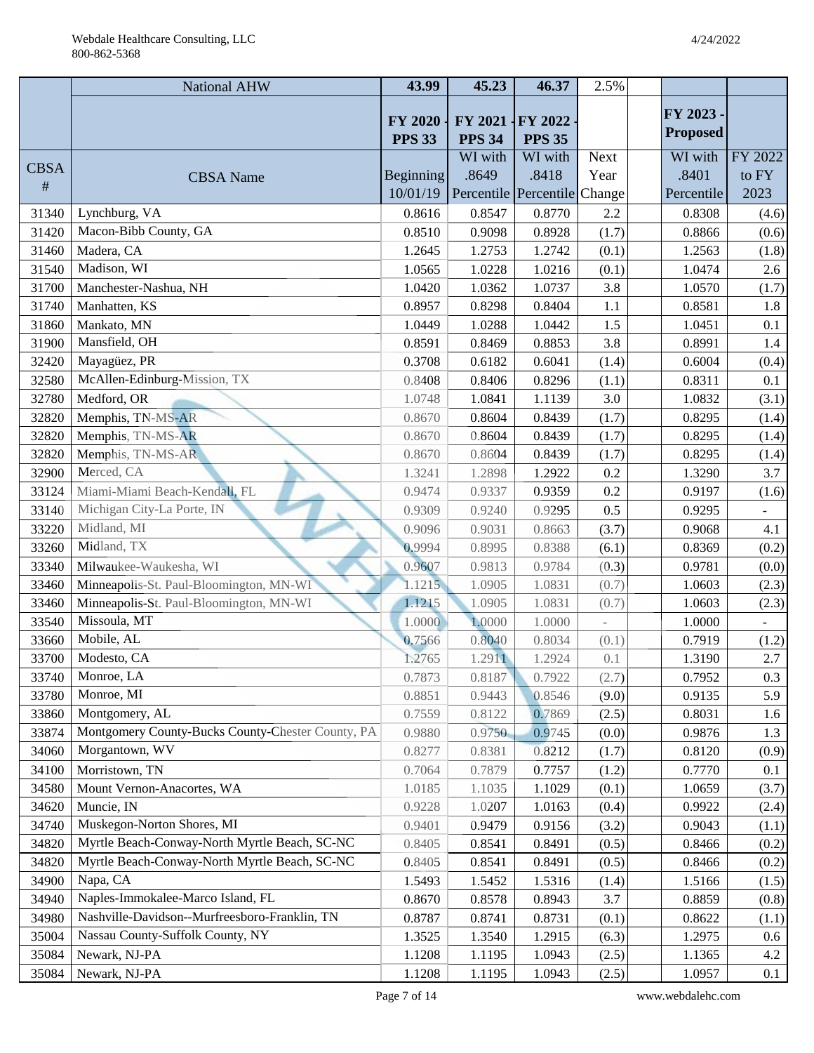|             | <b>National AHW</b>                               | 43.99                           | 45.23                    | 46.37                    | 2.5%        |                 |         |
|-------------|---------------------------------------------------|---------------------------------|--------------------------|--------------------------|-------------|-----------------|---------|
|             |                                                   |                                 |                          |                          |             | FY 2023 -       |         |
|             |                                                   | <b>FY 2020</b><br><b>PPS 33</b> | FY 2021<br><b>PPS 34</b> | FY 2022<br><b>PPS 35</b> |             | <b>Proposed</b> |         |
|             |                                                   |                                 | WI with                  | WI with                  | <b>Next</b> | WI with         | FY 2022 |
| <b>CBSA</b> | <b>CBSA</b> Name                                  | <b>Beginning</b>                | .8649                    | .8418                    | Year        | .8401           | to FY   |
| $\#$        |                                                   | 10/01/19                        |                          | Percentile Percentile    | Change      | Percentile      | 2023    |
| 31340       | Lynchburg, VA                                     | 0.8616                          | 0.8547                   | 0.8770                   | 2.2         | 0.8308          | (4.6)   |
| 31420       | Macon-Bibb County, GA                             | 0.8510                          | 0.9098                   | 0.8928                   | (1.7)       | 0.8866          | (0.6)   |
| 31460       | Madera, CA                                        | 1.2645                          | 1.2753                   | 1.2742                   | (0.1)       | 1.2563          | (1.8)   |
| 31540       | Madison, WI                                       | 1.0565                          | 1.0228                   | 1.0216                   | (0.1)       | 1.0474          | 2.6     |
| 31700       | Manchester-Nashua, NH                             | 1.0420                          | 1.0362                   | 1.0737                   | 3.8         | 1.0570          | (1.7)   |
| 31740       | Manhatten, KS                                     | 0.8957                          | 0.8298                   | 0.8404                   | 1.1         | 0.8581          | 1.8     |
| 31860       | Mankato, MN                                       | 1.0449                          | 1.0288                   | 1.0442                   | 1.5         | 1.0451          | 0.1     |
| 31900       | Mansfield, OH                                     | 0.8591                          | 0.8469                   | 0.8853                   | 3.8         | 0.8991          | 1.4     |
| 32420       | Mayagüez, PR                                      | 0.3708                          | 0.6182                   | 0.6041                   | (1.4)       | 0.6004          | (0.4)   |
| 32580       | McAllen-Edinburg-Mission, TX                      | 0.8408                          | 0.8406                   | 0.8296                   | (1.1)       | 0.8311          | 0.1     |
| 32780       | Medford, OR                                       | 1.0748                          | 1.0841                   | 1.1139                   | 3.0         | 1.0832          | (3.1)   |
| 32820       | Memphis, TN-MS-AR                                 | 0.8670                          | 0.8604                   | 0.8439                   | (1.7)       | 0.8295          | (1.4)   |
| 32820       | Memphis, TN-MS-AR                                 | 0.8670                          | 0.8604                   | 0.8439                   | (1.7)       | 0.8295          | (1.4)   |
| 32820       | Memphis, TN-MS-AR                                 | 0.8670                          | 0.8604                   | 0.8439                   | (1.7)       | 0.8295          | (1.4)   |
| 32900       | Merced, CA                                        | 1.3241                          | 1.2898                   | 1.2922                   | 0.2         | 1.3290          | 3.7     |
| 33124       | Miami-Miami Beach-Kendall, FL                     | 0.9474                          | 0.9337                   | 0.9359                   | 0.2         | 0.9197          | (1.6)   |
| 33140       | Michigan City-La Porte, IN                        | 0.9309                          | 0.9240                   | 0.9295                   | 0.5         | 0.9295          |         |
| 33220       | Midland, MI                                       | 0.9096                          | 0.9031                   | 0.8663                   | (3.7)       | 0.9068          | 4.1     |
| 33260       | Midland, TX                                       | 0.9994                          | 0.8995                   | 0.8388                   | (6.1)       | 0.8369          | (0.2)   |
| 33340       | Milwaukee-Waukesha, WI                            | 0.9607                          | 0.9813                   | 0.9784                   | (0.3)       | 0.9781          | (0.0)   |
| 33460       | Minneapolis-St. Paul-Bloomington, MN-WI           | 1.1215                          | 1.0905                   | 1.0831                   | (0.7)       | 1.0603          | (2.3)   |
| 33460       | Minneapolis-St. Paul-Bloomington, MN-WI           | 1.1215                          | 1.0905                   | 1.0831                   | (0.7)       | 1.0603          | (2.3)   |
| 33540       | Missoula, MT                                      | 1.0000                          | 1.0000                   | 1.0000                   |             | 1.0000          |         |
| 33660       | Mobile, AL                                        | 0.7566                          | 0.8040                   | 0.8034                   | (0.1)       | 0.7919          | (1.2)   |
| 33700       | Modesto, CA                                       | 1.2765                          | 1.2911                   | 1.2924                   | 0.1         | 1.3190          | 2.7     |
| 33740       | Monroe, LA                                        | 0.7873                          | 0.8187                   | 0.7922                   | (2.7)       | 0.7952          | 0.3     |
| 33780       | Monroe, MI                                        | 0.8851                          | 0.9443                   | 0.8546                   | (9.0)       | 0.9135          | 5.9     |
| 33860       | Montgomery, AL                                    | 0.7559                          | 0.8122                   | 0.7869                   | (2.5)       | 0.8031          | 1.6     |
| 33874       | Montgomery County-Bucks County-Chester County, PA | 0.9880                          | 0.9750                   | 0.9745                   | (0.0)       | 0.9876          | 1.3     |
| 34060       | Morgantown, WV                                    | 0.8277                          | 0.8381                   | 0.8212                   | (1.7)       | 0.8120          | (0.9)   |
| 34100       | Morristown, TN                                    | 0.7064                          | 0.7879                   | 0.7757                   | (1.2)       | 0.7770          | 0.1     |
| 34580       | Mount Vernon-Anacortes, WA                        | 1.0185                          | 1.1035                   | 1.1029                   | (0.1)       | 1.0659          | (3.7)   |
| 34620       | Muncie, IN                                        | 0.9228                          | 1.0207                   | 1.0163                   | (0.4)       | 0.9922          | (2.4)   |
| 34740       | Muskegon-Norton Shores, MI                        | 0.9401                          | 0.9479                   | 0.9156                   | (3.2)       | 0.9043          | (1.1)   |
| 34820       | Myrtle Beach-Conway-North Myrtle Beach, SC-NC     | 0.8405                          | 0.8541                   | 0.8491                   | (0.5)       | 0.8466          | (0.2)   |
| 34820       | Myrtle Beach-Conway-North Myrtle Beach, SC-NC     | 0.8405                          | 0.8541                   | 0.8491                   | (0.5)       | 0.8466          | (0.2)   |
| 34900       | Napa, CA                                          | 1.5493                          | 1.5452                   | 1.5316                   | (1.4)       | 1.5166          | (1.5)   |
| 34940       | Naples-Immokalee-Marco Island, FL                 | 0.8670                          | 0.8578                   | 0.8943                   | 3.7         | 0.8859          | (0.8)   |
| 34980       | Nashville-Davidson--Murfreesboro-Franklin, TN     | 0.8787                          | 0.8741                   | 0.8731                   | (0.1)       | 0.8622          | (1.1)   |
| 35004       | Nassau County-Suffolk County, NY                  | 1.3525                          | 1.3540                   | 1.2915                   | (6.3)       | 1.2975          | $0.6\,$ |
| 35084       | Newark, NJ-PA                                     | 1.1208                          | 1.1195                   | 1.0943                   | (2.5)       | 1.1365          | 4.2     |
| 35084       | Newark, NJ-PA                                     | 1.1208                          | 1.1195                   | 1.0943                   | (2.5)       | 1.0957          | 0.1     |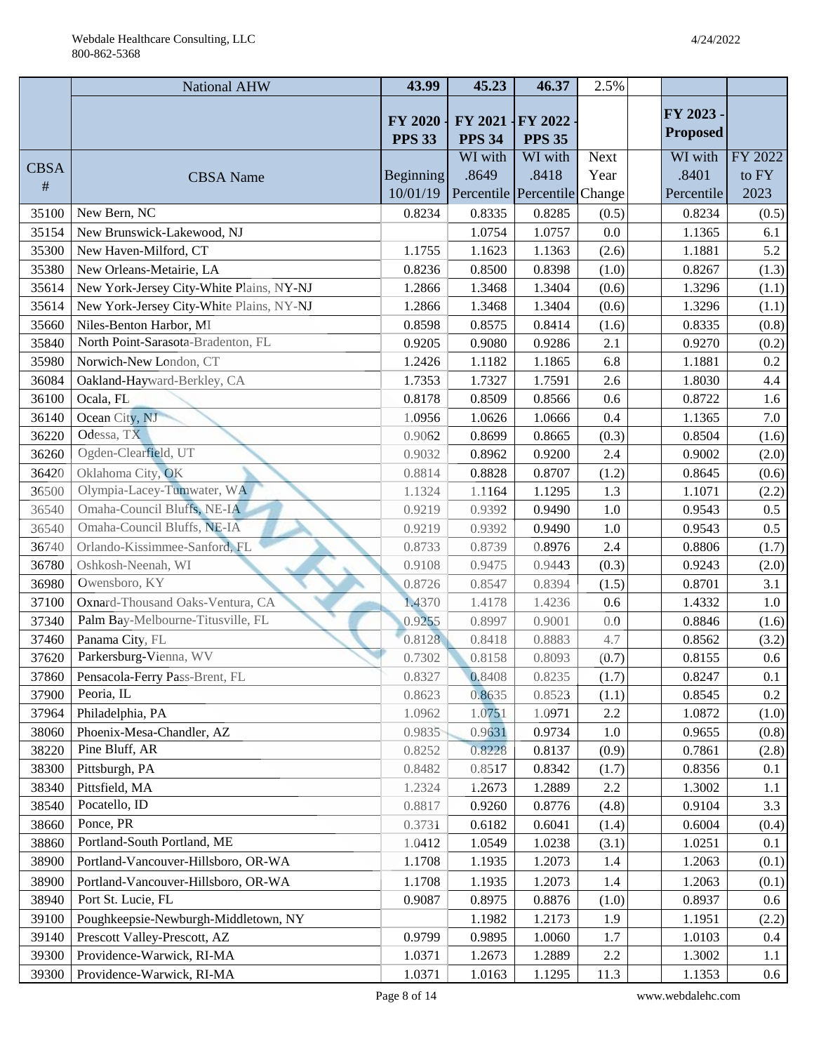|             | <b>National AHW</b>                      | 43.99                           | 45.23                    | 46.37                        | 2.5%        |                 |         |
|-------------|------------------------------------------|---------------------------------|--------------------------|------------------------------|-------------|-----------------|---------|
|             |                                          |                                 |                          |                              |             | FY 2023 -       |         |
|             |                                          | <b>FY 2020</b><br><b>PPS 33</b> | FY 2021<br><b>PPS 34</b> | FY 2022<br><b>PPS 35</b>     |             | <b>Proposed</b> |         |
|             |                                          |                                 | WI with                  | WI with                      | <b>Next</b> | WI with         | FY 2022 |
| <b>CBSA</b> | <b>CBSA</b> Name                         | <b>Beginning</b>                | .8649                    | .8418                        | Year        | .8401           | to FY   |
| #           |                                          | 10/01/19                        |                          | Percentile Percentile Change |             | Percentile      | 2023    |
| 35100       | New Bern, NC                             | 0.8234                          | 0.8335                   | 0.8285                       | (0.5)       | 0.8234          | (0.5)   |
| 35154       | New Brunswick-Lakewood, NJ               |                                 | 1.0754                   | 1.0757                       | 0.0         | 1.1365          | 6.1     |
| 35300       | New Haven-Milford, CT                    | 1.1755                          | 1.1623                   | 1.1363                       | (2.6)       | 1.1881          | 5.2     |
| 35380       | New Orleans-Metairie, LA                 | 0.8236                          | 0.8500                   | 0.8398                       | (1.0)       | 0.8267          | (1.3)   |
| 35614       | New York-Jersey City-White Plains, NY-NJ | 1.2866                          | 1.3468                   | 1.3404                       | (0.6)       | 1.3296          | (1.1)   |
| 35614       | New York-Jersey City-White Plains, NY-NJ | 1.2866                          | 1.3468                   | 1.3404                       | (0.6)       | 1.3296          | (1.1)   |
| 35660       | Niles-Benton Harbor, MI                  | 0.8598                          | 0.8575                   | 0.8414                       | (1.6)       | 0.8335          | (0.8)   |
| 35840       | North Point-Sarasota-Bradenton, FL       | 0.9205                          | 0.9080                   | 0.9286                       | 2.1         | 0.9270          | (0.2)   |
| 35980       | Norwich-New London, CT                   | 1.2426                          | 1.1182                   | 1.1865                       | 6.8         | 1.1881          | 0.2     |
| 36084       | Oakland-Hayward-Berkley, CA              | 1.7353                          | 1.7327                   | 1.7591                       | 2.6         | 1.8030          | 4.4     |
| 36100       | Ocala, FL                                | 0.8178                          | 0.8509                   | 0.8566                       | 0.6         | 0.8722          | 1.6     |
| 36140       | Ocean City, NJ                           | 1.0956                          | 1.0626                   | 1.0666                       | 0.4         | 1.1365          | 7.0     |
| 36220       | Odessa, TX                               | 0.9062                          | 0.8699                   | 0.8665                       | (0.3)       | 0.8504          | (1.6)   |
| 36260       | Ogden-Clearfield, UT                     | 0.9032                          | 0.8962                   | 0.9200                       | 2.4         | 0.9002          | (2.0)   |
| 36420       | Oklahoma City, OK                        | 0.8814                          | 0.8828                   | 0.8707                       | (1.2)       | 0.8645          | (0.6)   |
| 36500       | Olympia-Lacey-Tumwater, WA               | 1.1324                          | 1.1164                   | 1.1295                       | 1.3         | 1.1071          | (2.2)   |
| 36540       | Omaha-Council Bluffs, NE-IA              | 0.9219                          | 0.9392                   | 0.9490                       | 1.0         | 0.9543          | $0.5\,$ |
| 36540       | Omaha-Council Bluffs, NE-IA              | 0.9219                          | 0.9392                   | 0.9490                       | 1.0         | 0.9543          | 0.5     |
| 36740       | Orlando-Kissimmee-Sanford, FL            | 0.8733                          | 0.8739                   | 0.8976                       | 2.4         | 0.8806          | (1.7)   |
| 36780       | Oshkosh-Neenah, WI                       | 0.9108                          | 0.9475                   | 0.9443                       | (0.3)       | 0.9243          | (2.0)   |
| 36980       | Owensboro, KY                            | 0.8726                          | 0.8547                   | 0.8394                       | (1.5)       | 0.8701          | 3.1     |
| 37100       | Oxnard-Thousand Oaks-Ventura, CA         | 1.4370                          | 1.4178                   | 1.4236                       | 0.6         | 1.4332          | $1.0\,$ |
| 37340       | Palm Bay-Melbourne-Titusville, FL        | 0.9255                          | 0.8997                   | 0.9001                       | 0.0         | 0.8846          | (1.6)   |
| 37460       | Panama City, FL                          | 0.8128                          | 0.8418                   | 0.8883                       | 4.7         | 0.8562          | (3.2)   |
| 37620       | Parkersburg-Vienna, WV                   | 0.7302                          | 0.8158                   | 0.8093                       | (0.7)       | 0.8155          | $0.6\,$ |
| 37860       | Pensacola-Ferry Pass-Brent, FL           | 0.8327                          | 0.8408                   | 0.8235                       | (1.7)       | 0.8247          | 0.1     |
| 37900       | Peoria, IL                               | 0.8623                          | 0.8635                   | 0.8523                       | (1.1)       | 0.8545          | $0.2\,$ |
| 37964       | Philadelphia, PA                         | 1.0962                          | 1.0751                   | 1.0971                       | 2.2         | 1.0872          | (1.0)   |
| 38060       | Phoenix-Mesa-Chandler, AZ                | 0.9835                          | 0.9631                   | 0.9734                       | 1.0         | 0.9655          | (0.8)   |
| 38220       | Pine Bluff, AR                           | 0.8252                          | 0.8228                   | 0.8137                       | (0.9)       | 0.7861          | (2.8)   |
| 38300       | Pittsburgh, PA                           | 0.8482                          | 0.8517                   | 0.8342                       | (1.7)       | 0.8356          | 0.1     |
| 38340       | Pittsfield, MA                           | 1.2324                          | 1.2673                   | 1.2889                       | 2.2         | 1.3002          | 1.1     |
| 38540       | Pocatello, ID                            | 0.8817                          | 0.9260                   | 0.8776                       | (4.8)       | 0.9104          | 3.3     |
| 38660       | Ponce, PR                                | 0.3731                          | 0.6182                   | 0.6041                       | (1.4)       | 0.6004          | (0.4)   |
| 38860       | Portland-South Portland, ME              | 1.0412                          | 1.0549                   | 1.0238                       | (3.1)       | 1.0251          | 0.1     |
| 38900       | Portland-Vancouver-Hillsboro, OR-WA      | 1.1708                          | 1.1935                   | 1.2073                       | 1.4         | 1.2063          | (0.1)   |
| 38900       | Portland-Vancouver-Hillsboro, OR-WA      | 1.1708                          | 1.1935                   | 1.2073                       | 1.4         | 1.2063          | (0.1)   |
| 38940       | Port St. Lucie, FL                       | 0.9087                          | 0.8975                   | 0.8876                       | (1.0)       | 0.8937          | $0.6\,$ |
| 39100       | Poughkeepsie-Newburgh-Middletown, NY     |                                 | 1.1982                   | 1.2173                       | 1.9         | 1.1951          | (2.2)   |
| 39140       | Prescott Valley-Prescott, AZ             | 0.9799                          | 0.9895                   | 1.0060                       | 1.7         | 1.0103          | $0.4\,$ |
| 39300       | Providence-Warwick, RI-MA                | 1.0371                          | 1.2673                   | 1.2889                       | 2.2         | 1.3002          | 1.1     |
| 39300       | Providence-Warwick, RI-MA                | 1.0371                          | 1.0163                   | 1.1295                       | 11.3        | 1.1353          | $0.6\,$ |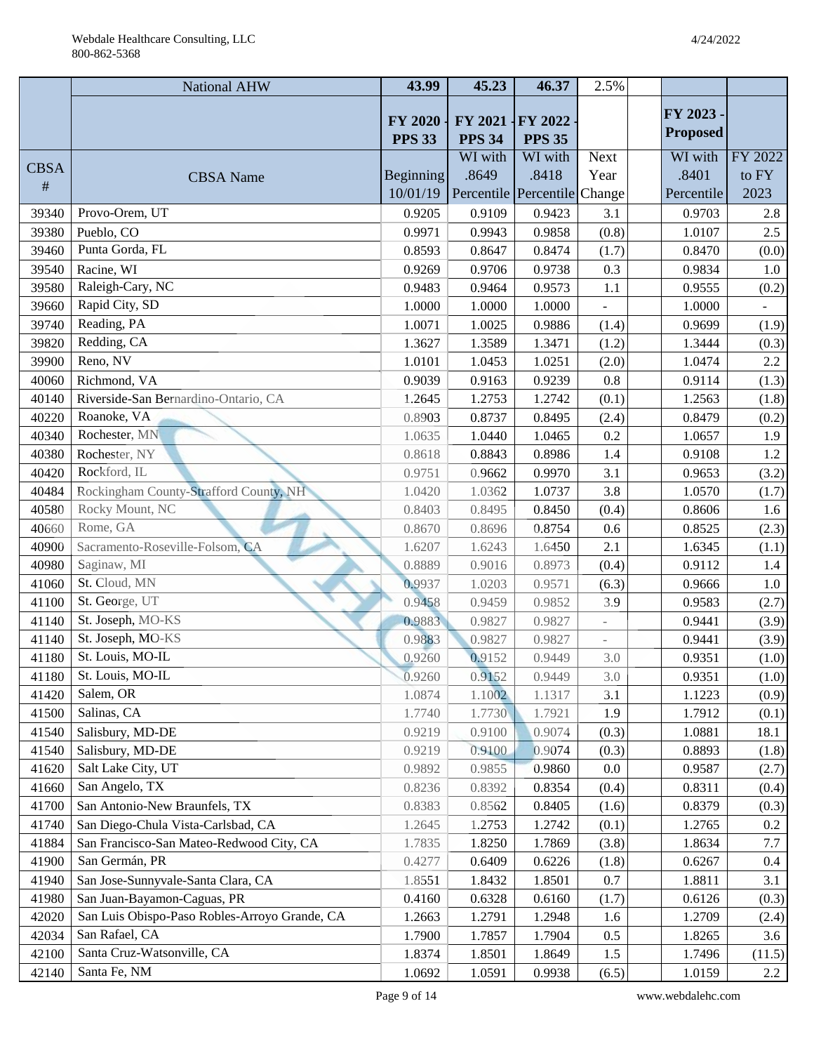|             | National AHW                                  | 43.99                           | 45.23                    | 46.37                        | 2.5%        |                 |                |
|-------------|-----------------------------------------------|---------------------------------|--------------------------|------------------------------|-------------|-----------------|----------------|
|             |                                               |                                 |                          |                              |             | FY 2023 -       |                |
|             |                                               | <b>FY 2020</b><br><b>PPS 33</b> | FY 2021<br><b>PPS 34</b> | $-FY 2022$<br><b>PPS 35</b>  |             | <b>Proposed</b> |                |
|             |                                               |                                 | WI with                  | WI with                      | <b>Next</b> | WI with         | FY 2022        |
| <b>CBSA</b> | <b>CBSA</b> Name                              | <b>Beginning</b>                | .8649                    | .8418                        | Year        | .8401           | to FY          |
| #           |                                               | 10/01/19                        |                          | Percentile Percentile Change |             | Percentile      | 2023           |
| 39340       | Provo-Orem, UT                                | 0.9205                          | 0.9109                   | 0.9423                       | 3.1         | 0.9703          | 2.8            |
| 39380       | Pueblo, CO                                    | 0.9971                          | 0.9943                   | 0.9858                       | (0.8)       | 1.0107          | 2.5            |
| 39460       | Punta Gorda, FL                               | 0.8593                          | 0.8647                   | 0.8474                       | (1.7)       | 0.8470          | (0.0)          |
| 39540       | Racine, WI                                    | 0.9269                          | 0.9706                   | 0.9738                       | 0.3         | 0.9834          | 1.0            |
| 39580       | Raleigh-Cary, NC                              | 0.9483                          | 0.9464                   | 0.9573                       | 1.1         | 0.9555          | (0.2)          |
| 39660       | Rapid City, SD                                | 1.0000                          | 1.0000                   | 1.0000                       |             | 1.0000          | $\blacksquare$ |
| 39740       | Reading, PA                                   | 1.0071                          | 1.0025                   | 0.9886                       | (1.4)       | 0.9699          | (1.9)          |
| 39820       | Redding, CA                                   | 1.3627                          | 1.3589                   | 1.3471                       | (1.2)       | 1.3444          | (0.3)          |
| 39900       | Reno, NV                                      | 1.0101                          | 1.0453                   | 1.0251                       | (2.0)       | 1.0474          | $2.2\,$        |
| 40060       | Richmond, VA                                  | 0.9039                          | 0.9163                   | 0.9239                       | 0.8         | 0.9114          | (1.3)          |
| 40140       | Riverside-San Bernardino-Ontario, CA          | 1.2645                          | 1.2753                   | 1.2742                       | (0.1)       | 1.2563          | (1.8)          |
| 40220       | Roanoke, VA                                   | 0.8903                          | 0.8737                   | 0.8495                       | (2.4)       | 0.8479          | (0.2)          |
| 40340       | Rochester, MN                                 | 1.0635                          | 1.0440                   | 1.0465                       | 0.2         | 1.0657          | 1.9            |
| 40380       | Rochester, NY                                 | 0.8618                          | 0.8843                   | 0.8986                       | 1.4         | 0.9108          | 1.2            |
| 40420       | Rockford, IL                                  | 0.9751                          | 0.9662                   | 0.9970                       | 3.1         | 0.9653          | (3.2)          |
| 40484       | Rockingham County-Strafford County, NH        | 1.0420                          | 1.0362                   | 1.0737                       | 3.8         | 1.0570          | (1.7)          |
| 40580       | Rocky Mount, NC                               | 0.8403                          | 0.8495                   | 0.8450                       | (0.4)       | 0.8606          | 1.6            |
| 40660       | Rome, GA                                      | 0.8670                          | 0.8696                   | 0.8754                       | 0.6         | 0.8525          | (2.3)          |
| 40900       | Sacramento-Roseville-Folsom, CA               | 1.6207                          | 1.6243                   | 1.6450                       | 2.1         | 1.6345          | (1.1)          |
| 40980       | Saginaw, MI                                   | 0.8889                          | 0.9016                   | 0.8973                       | (0.4)       | 0.9112          | 1.4            |
| 41060       | St. Cloud, MN                                 | 0.9937                          | 1.0203                   | 0.9571                       | (6.3)       | 0.9666          | $1.0\,$        |
| 41100       | St. George, UT                                | 0.9458                          | 0.9459                   | 0.9852                       | 3.9         | 0.9583          | (2.7)          |
| 41140       | St. Joseph, MO-KS                             | 0.9883                          | 0.9827                   | 0.9827                       |             | 0.9441          | (3.9)          |
| 41140       | St. Joseph, MO-KS                             | 0.9883                          | 0.9827                   | 0.9827                       |             | 0.9441          | (3.9)          |
| 41180       | St. Louis, MO-IL                              | 0.9260                          | 0.9152                   | 0.9449                       | 3.0         | 0.9351          | (1.0)          |
| 41180       | St. Louis, MO-IL                              | 0.9260                          | 0.9152                   | 0.9449                       | 3.0         | 0.9351          | (1.0)          |
| 41420       | Salem, OR                                     | 1.0874                          | 1.1002                   | 1.1317                       | 3.1         | 1.1223          | (0.9)          |
| 41500       | Salinas, CA                                   | 1.7740                          | 1.7730                   | 1.7921                       | 1.9         | 1.7912          | (0.1)          |
| 41540       | Salisbury, MD-DE                              | 0.9219                          | 0.9100                   | 0.9074                       | (0.3)       | 1.0881          | 18.1           |
| 41540       | Salisbury, MD-DE                              | 0.9219                          | 0.9100                   | 0.9074                       | (0.3)       | 0.8893          | (1.8)          |
| 41620       | Salt Lake City, UT                            | 0.9892                          | 0.9855                   | 0.9860                       | 0.0         | 0.9587          | (2.7)          |
| 41660       | San Angelo, TX                                | 0.8236                          | 0.8392                   | 0.8354                       | (0.4)       | 0.8311          | (0.4)          |
| 41700       | San Antonio-New Braunfels, TX                 | 0.8383                          | 0.8562                   | 0.8405                       | (1.6)       | 0.8379          | (0.3)          |
| 41740       | San Diego-Chula Vista-Carlsbad, CA            | 1.2645                          | 1.2753                   | 1.2742                       | (0.1)       | 1.2765          | 0.2            |
| 41884       | San Francisco-San Mateo-Redwood City, CA      | 1.7835                          | 1.8250                   | 1.7869                       | (3.8)       | 1.8634          | 7.7            |
| 41900       | San Germán, PR                                | 0.4277                          | 0.6409                   | 0.6226                       | (1.8)       | 0.6267          | 0.4            |
| 41940       | San Jose-Sunnyvale-Santa Clara, CA            | 1.8551                          | 1.8432                   | 1.8501                       | 0.7         | 1.8811          | 3.1            |
| 41980       | San Juan-Bayamon-Caguas, PR                   | 0.4160                          | 0.6328                   | 0.6160                       | (1.7)       | 0.6126          | (0.3)          |
| 42020       | San Luis Obispo-Paso Robles-Arroyo Grande, CA | 1.2663                          | 1.2791                   | 1.2948                       | 1.6         | 1.2709          | (2.4)          |
| 42034       | San Rafael, CA                                | 1.7900                          | 1.7857                   | 1.7904                       | 0.5         | 1.8265          | 3.6            |
| 42100       | Santa Cruz-Watsonville, CA                    | 1.8374                          | 1.8501                   | 1.8649                       | 1.5         | 1.7496          | (11.5)         |
| 42140       | Santa Fe, NM                                  | 1.0692                          | 1.0591                   | 0.9938                       | (6.5)       | 1.0159          | 2.2            |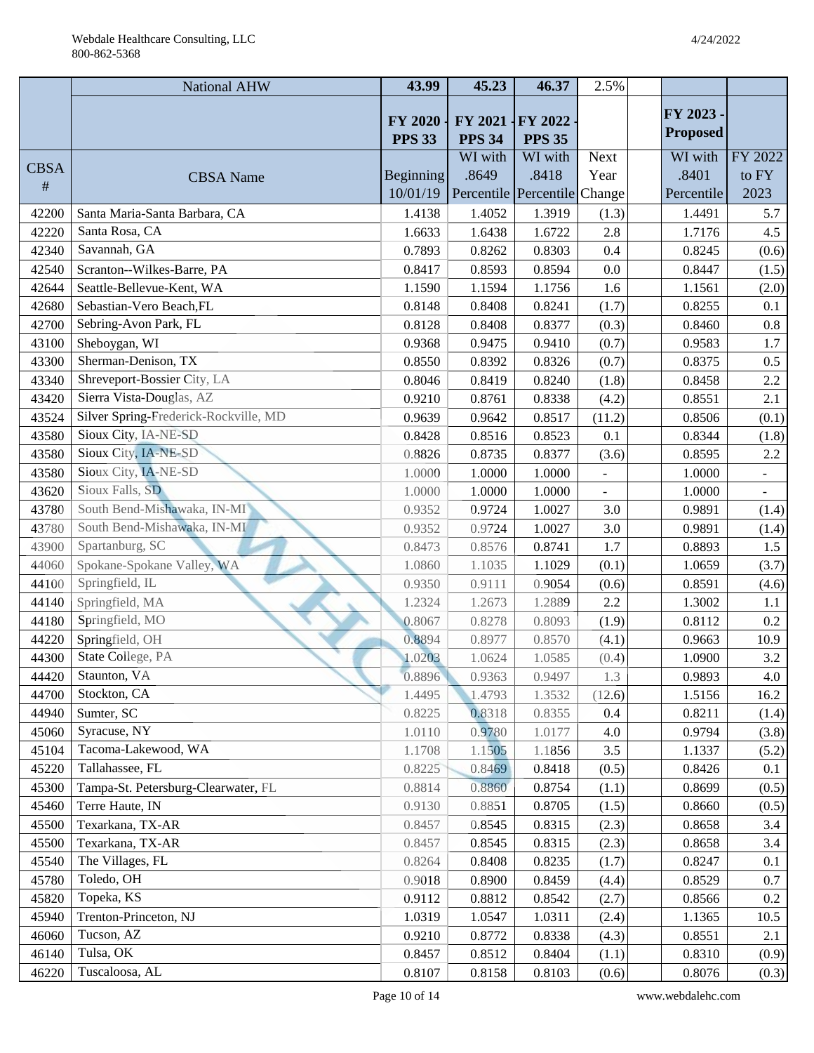|             | <b>National AHW</b>                   | 43.99            | 45.23         | 46.37                        | 2.5%          |                 |                |
|-------------|---------------------------------------|------------------|---------------|------------------------------|---------------|-----------------|----------------|
|             |                                       | <b>FY 2020</b>   | FY 2021       | FY 2022                      |               | FY 2023 -       |                |
|             |                                       | <b>PPS 33</b>    | <b>PPS 34</b> | <b>PPS 35</b>                |               | <b>Proposed</b> |                |
|             |                                       |                  | WI with       | WI with                      | <b>Next</b>   | WI with         | FY 2022        |
| <b>CBSA</b> | <b>CBSA</b> Name                      | <b>Beginning</b> | .8649         | .8418                        | Year          | .8401           | to FY          |
| #           |                                       | 10/01/19         |               | Percentile Percentile Change |               | Percentile      | 2023           |
| 42200       | Santa Maria-Santa Barbara, CA         | 1.4138           | 1.4052        | 1.3919                       | (1.3)         | 1.4491          | 5.7            |
| 42220       | Santa Rosa, CA                        | 1.6633           | 1.6438        | 1.6722                       | 2.8           | 1.7176          | 4.5            |
| 42340       | Savannah, GA                          | 0.7893           | 0.8262        | 0.8303                       | 0.4           | 0.8245          | (0.6)          |
| 42540       | Scranton--Wilkes-Barre, PA            | 0.8417           | 0.8593        | 0.8594                       | 0.0           | 0.8447          | (1.5)          |
| 42644       | Seattle-Bellevue-Kent, WA             | 1.1590           | 1.1594        | 1.1756                       | 1.6           | 1.1561          | (2.0)          |
| 42680       | Sebastian-Vero Beach, FL              | 0.8148           | 0.8408        | 0.8241                       | (1.7)         | 0.8255          | 0.1            |
| 42700       | Sebring-Avon Park, FL                 | 0.8128           | 0.8408        | 0.8377                       | (0.3)         | 0.8460          | $0.8\,$        |
| 43100       | Sheboygan, WI                         | 0.9368           | 0.9475        | 0.9410                       | (0.7)         | 0.9583          | 1.7            |
| 43300       | Sherman-Denison, TX                   | 0.8550           | 0.8392        | 0.8326                       | (0.7)         | 0.8375          | 0.5            |
| 43340       | Shreveport-Bossier City, LA           | 0.8046           | 0.8419        | 0.8240                       | (1.8)         | 0.8458          | 2.2            |
| 43420       | Sierra Vista-Douglas, AZ              | 0.9210           | 0.8761        | 0.8338                       | (4.2)         | 0.8551          | 2.1            |
| 43524       | Silver Spring-Frederick-Rockville, MD | 0.9639           | 0.9642        | 0.8517                       | (11.2)        | 0.8506          | (0.1)          |
| 43580       | Sioux City, IA-NE-SD                  | 0.8428           | 0.8516        | 0.8523                       | 0.1           | 0.8344          | (1.8)          |
| 43580       | Sioux City, IA-NE-SD                  | 0.8826           | 0.8735        | 0.8377                       | (3.6)         | 0.8595          | $2.2\,$        |
| 43580       | Sioux City, IA-NE-SD                  | 1.0000           | 1.0000        | 1.0000                       | $\frac{1}{2}$ | 1.0000          | $\blacksquare$ |
| 43620       | Sioux Falls, SD                       | 1.0000           | 1.0000        | 1.0000                       | L.            | 1.0000          |                |
| 43780       | South Bend-Mishawaka, IN-MI           | 0.9352           | 0.9724        | 1.0027                       | 3.0           | 0.9891          | (1.4)          |
| 43780       | South Bend-Mishawaka, IN-MI           | 0.9352           | 0.9724        | 1.0027                       | 3.0           | 0.9891          | (1.4)          |
| 43900       | Spartanburg, SC                       | 0.8473           | 0.8576        | 0.8741                       | 1.7           | 0.8893          | 1.5            |
| 44060       | Spokane-Spokane Valley, WA            | 1.0860           | 1.1035        | 1.1029                       | (0.1)         | 1.0659          | (3.7)          |
| 44100       | Springfield, IL                       | 0.9350           | 0.9111        | 0.9054                       | (0.6)         | 0.8591          | (4.6)          |
| 44140       | Springfield, MA                       | 1.2324           | 1.2673        | 1.2889                       | 2.2           | 1.3002          | 1.1            |
| 44180       | Springfield, MO                       | 0.8067           | 0.8278        | 0.8093                       | (1.9)         | 0.8112          | $0.2\,$        |
| 44220       | Springfield, OH                       | 0.8894           | 0.8977        | 0.8570                       | (4.1)         | 0.9663          | 10.9           |
| 44300       | State College, PA                     | 1.0203           | 1.0624        | 1.0585                       | (0.4)         | 1.0900          | 3.2            |
| 44420       | Staunton, VA                          | 0.8896           | 0.9363        | 0.9497                       | 1.3           | 0.9893          | 4.0            |
| 44700       | Stockton, CA                          | 1.4495           | 1.4793        | 1.3532                       | (12.6)        | 1.5156          | 16.2           |
| 44940       | Sumter, SC                            | 0.8225           | 0.8318        | 0.8355                       | 0.4           | 0.8211          | (1.4)          |
| 45060       | Syracuse, NY                          | 1.0110           | 0.9780        | 1.0177                       | 4.0           | 0.9794          | (3.8)          |
| 45104       | Tacoma-Lakewood, WA                   | 1.1708           | 1.1505        | 1.1856                       | $3.5$         | 1.1337          | (5.2)          |
| 45220       | Tallahassee, FL                       | 0.8225           | 0.8469        | 0.8418                       | (0.5)         | 0.8426          | 0.1            |
| 45300       | Tampa-St. Petersburg-Clearwater, FL   | 0.8814           | 0.8860        | 0.8754                       | (1.1)         | 0.8699          | (0.5)          |
| 45460       | Terre Haute, IN                       | 0.9130           | 0.8851        | 0.8705                       | (1.5)         | 0.8660          | (0.5)          |
| 45500       | Texarkana, TX-AR                      | 0.8457           | 0.8545        | 0.8315                       | (2.3)         | 0.8658          | 3.4            |
| 45500       | Texarkana, TX-AR                      | 0.8457           | 0.8545        | 0.8315                       | (2.3)         | 0.8658          | 3.4            |
| 45540       | The Villages, FL                      | 0.8264           | 0.8408        | 0.8235                       | (1.7)         | 0.8247          | 0.1            |
| 45780       | Toledo, OH                            | 0.9018           | 0.8900        | 0.8459                       | (4.4)         | 0.8529          | 0.7            |
| 45820       | Topeka, KS                            | 0.9112           | 0.8812        | 0.8542                       | (2.7)         | 0.8566          | $0.2\,$        |
| 45940       | Trenton-Princeton, NJ                 | 1.0319           | 1.0547        | 1.0311                       | (2.4)         | 1.1365          | 10.5           |
| 46060       | Tucson, AZ                            | 0.9210           | 0.8772        | 0.8338                       | (4.3)         | 0.8551          | 2.1            |
| 46140       | Tulsa, OK                             | 0.8457           | 0.8512        | 0.8404                       | (1.1)         | 0.8310          | (0.9)          |
| 46220       | Tuscaloosa, AL                        | 0.8107           | 0.8158        | 0.8103                       | (0.6)         | 0.8076          | (0.3)          |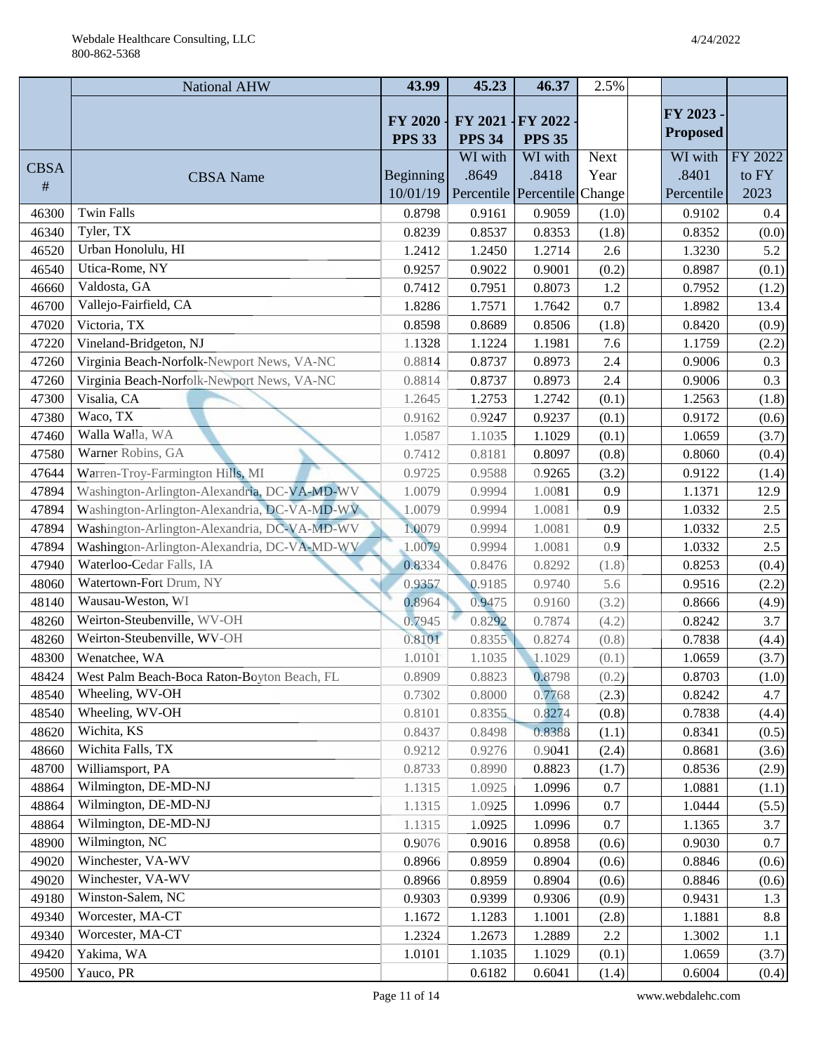|             | <b>National AHW</b>                          | 43.99            | 45.23                        | 46.37                    | 2.5%  |                 |         |
|-------------|----------------------------------------------|------------------|------------------------------|--------------------------|-------|-----------------|---------|
|             |                                              |                  |                              |                          |       | FY 2023 -       |         |
|             |                                              | <b>FY 2020</b>   | FY 2021                      | FY 2022                  |       | <b>Proposed</b> |         |
|             |                                              | <b>PPS 33</b>    | <b>PPS 34</b><br>WI with     | <b>PPS 35</b><br>WI with | Next  | WI with         | FY 2022 |
| <b>CBSA</b> | <b>CBSA</b> Name                             | <b>Beginning</b> | .8649                        | .8418                    | Year  | .8401           | to FY   |
| #           |                                              | 10/01/19         | Percentile Percentile Change |                          |       | Percentile      | 2023    |
| 46300       | <b>Twin Falls</b>                            | 0.8798           | 0.9161                       | 0.9059                   | (1.0) | 0.9102          | $0.4\,$ |
| 46340       | Tyler, TX                                    | 0.8239           | 0.8537                       | 0.8353                   | (1.8) | 0.8352          | (0.0)   |
| 46520       | Urban Honolulu, HI                           | 1.2412           | 1.2450                       | 1.2714                   | 2.6   | 1.3230          | 5.2     |
| 46540       | Utica-Rome, NY                               | 0.9257           | 0.9022                       | 0.9001                   | (0.2) | 0.8987          | (0.1)   |
| 46660       | Valdosta, GA                                 | 0.7412           | 0.7951                       | 0.8073                   | 1.2   | 0.7952          | (1.2)   |
| 46700       | Vallejo-Fairfield, CA                        | 1.8286           | 1.7571                       | 1.7642                   | 0.7   | 1.8982          | 13.4    |
| 47020       | Victoria, TX                                 | 0.8598           | 0.8689                       | 0.8506                   | (1.8) | 0.8420          | (0.9)   |
| 47220       | Vineland-Bridgeton, NJ                       | 1.1328           | 1.1224                       | 1.1981                   | 7.6   | 1.1759          | (2.2)   |
| 47260       | Virginia Beach-Norfolk-Newport News, VA-NC   | 0.8814           | 0.8737                       | 0.8973                   | 2.4   | 0.9006          | 0.3     |
| 47260       | Virginia Beach-Norfolk-Newport News, VA-NC   | 0.8814           | 0.8737                       | 0.8973                   | 2.4   | 0.9006          | 0.3     |
| 47300       | Visalia, CA                                  | 1.2645           | 1.2753                       | 1.2742                   | (0.1) | 1.2563          | (1.8)   |
| 47380       | Waco, TX                                     | 0.9162           | 0.9247                       | 0.9237                   | (0.1) | 0.9172          | (0.6)   |
| 47460       | Walla Walla, WA                              | 1.0587           | 1.1035                       | 1.1029                   | (0.1) | 1.0659          | (3.7)   |
| 47580       | Warner Robins, GA                            | 0.7412           | 0.8181                       | 0.8097                   | (0.8) | 0.8060          | (0.4)   |
| 47644       | Warren-Troy-Farmington Hills, MI             | 0.9725           | 0.9588                       | 0.9265                   | (3.2) | 0.9122          | (1.4)   |
| 47894       | Washington-Arlington-Alexandria, DC-VA-MD-WV | 1.0079           | 0.9994                       | 1.0081                   | 0.9   | 1.1371          | 12.9    |
| 47894       | Washington-Arlington-Alexandria, DC-VA-MD-WV | 1.0079           | 0.9994                       | 1.0081                   | 0.9   | 1.0332          | 2.5     |
| 47894       | Washington-Arlington-Alexandria, DC-VA-MD-WV | 1.0079           | 0.9994                       | 1.0081                   | 0.9   | 1.0332          | 2.5     |
| 47894       | Washington-Arlington-Alexandria, DC-VA-MD-WV | 1.0079           | 0.9994                       | 1.0081                   | 0.9   | 1.0332          | 2.5     |
| 47940       | Waterloo-Cedar Falls, IA                     | 0.8334           | 0.8476                       | 0.8292                   | (1.8) | 0.8253          | (0.4)   |
| 48060       | Watertown-Fort Drum, NY                      | 0.9357           | 0.9185                       | 0.9740                   | 5.6   | 0.9516          | (2.2)   |
| 48140       | Wausau-Weston, WI                            | 0.8964           | 0.9475                       | 0.9160                   | (3.2) | 0.8666          | (4.9)   |
| 48260       | Weirton-Steubenville, WV-OH                  | 0.7945           | 0.8292                       | 0.7874                   | (4.2) | 0.8242          | 3.7     |
| 48260       | Weirton-Steubenville, WV-OH                  | 0.8101           | 0.8355                       | 0.8274                   | (0.8) | 0.7838          | (4.4)   |
| 48300       | Wenatchee, WA                                | 1.0101           | 1.1035                       | 1.1029                   | (0.1) | 1.0659          | (3.7)   |
| 48424       | West Palm Beach-Boca Raton-Boyton Beach, FL  | 0.8909           | 0.8823                       | 0.8798                   | (0.2) | 0.8703          | (1.0)   |
| 48540       | Wheeling, WV-OH                              | 0.7302           | 0.8000                       | 0.7768                   | (2.3) | 0.8242          | 4.7     |
| 48540       | Wheeling, WV-OH                              | 0.8101           | 0.8355                       | 0.8274                   | (0.8) | 0.7838          | (4.4)   |
| 48620       | Wichita, KS                                  | 0.8437           | 0.8498                       | 0.8388                   | (1.1) | 0.8341          | (0.5)   |
| 48660       | Wichita Falls, TX                            | 0.9212           | 0.9276                       | 0.9041                   | (2.4) | 0.8681          | (3.6)   |
| 48700       | Williamsport, PA                             | 0.8733           | 0.8990                       | 0.8823                   | (1.7) | 0.8536          | (2.9)   |
| 48864       | Wilmington, DE-MD-NJ                         | 1.1315           | 1.0925                       | 1.0996                   | 0.7   | 1.0881          | (1.1)   |
| 48864       | Wilmington, DE-MD-NJ                         | 1.1315           | 1.0925                       | 1.0996                   | 0.7   | 1.0444          | (5.5)   |
| 48864       | Wilmington, DE-MD-NJ                         | 1.1315           | 1.0925                       | 1.0996                   | 0.7   | 1.1365          | 3.7     |
| 48900       | Wilmington, NC                               | 0.9076           | 0.9016                       | 0.8958                   | (0.6) | 0.9030          | 0.7     |
| 49020       | Winchester, VA-WV                            | 0.8966           | 0.8959                       | 0.8904                   | (0.6) | 0.8846          | (0.6)   |
| 49020       | Winchester, VA-WV                            | 0.8966           | 0.8959                       | 0.8904                   | (0.6) | 0.8846          | (0.6)   |
| 49180       | Winston-Salem, NC                            | 0.9303           | 0.9399                       | 0.9306                   | (0.9) | 0.9431          | 1.3     |
| 49340       | Worcester, MA-CT                             | 1.1672           | 1.1283                       | 1.1001                   | (2.8) | 1.1881          | 8.8     |
| 49340       | Worcester, MA-CT                             | 1.2324           | 1.2673                       | 1.2889                   | 2.2   | 1.3002          | 1.1     |
| 49420       | Yakima, WA                                   | 1.0101           | 1.1035                       | 1.1029                   | (0.1) | 1.0659          | (3.7)   |
| 49500       | Yauco, PR                                    |                  | 0.6182                       | 0.6041                   | (1.4) | 0.6004          | (0.4)   |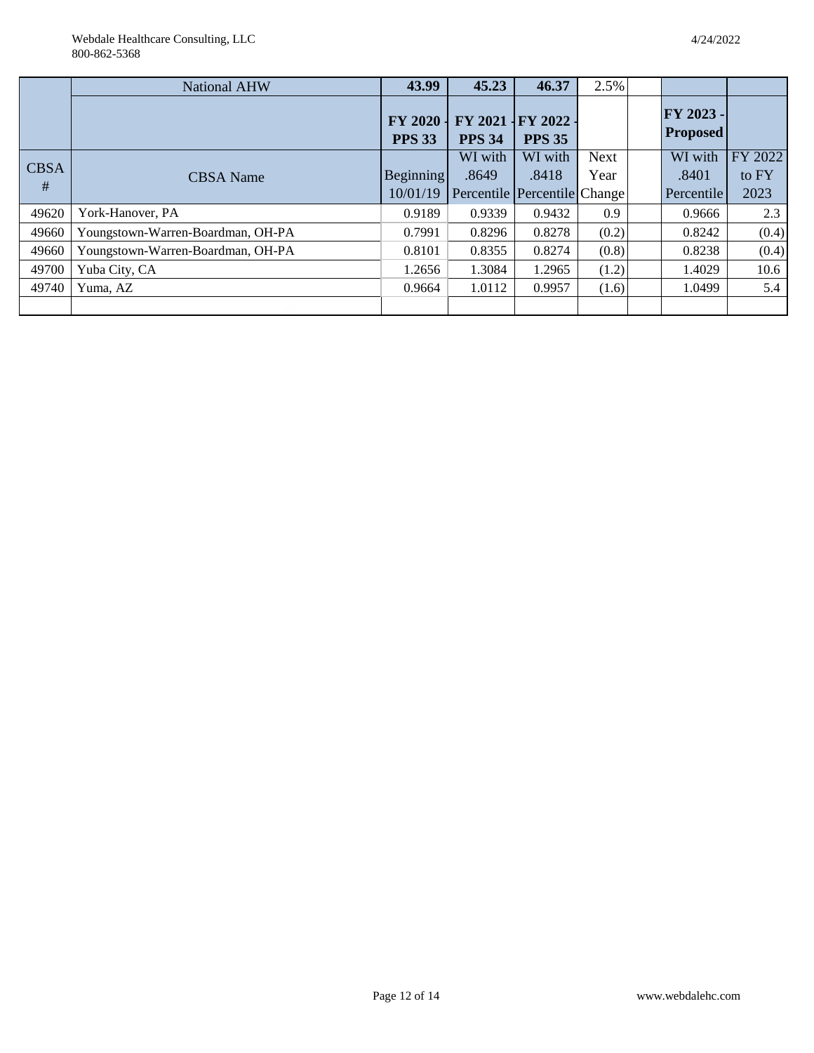Webdale Healthcare Consulting, LLC 800-862-5368

|             | <b>National AHW</b>               | 43.99                           | 45.23         | 46.37                             | 2.5%  |                              |         |
|-------------|-----------------------------------|---------------------------------|---------------|-----------------------------------|-------|------------------------------|---------|
|             |                                   | <b>FY 2020</b><br><b>PPS 33</b> | <b>PPS 34</b> | FY 2021 IFY 2022<br><b>PPS 35</b> |       | FY 2023 -<br><b>Proposed</b> |         |
| <b>CBSA</b> |                                   |                                 | WI with       | WI with                           | Next  | WI with                      | FY 2022 |
| #           | CBSA Name                         | <b>Beginning</b>                | .8649         | .8418                             | Year  | .8401                        | to FY   |
|             |                                   | 10/01/19                        |               | Percentile Percentile Change      |       | Percentile                   | 2023    |
| 49620       | York-Hanover, PA                  | 0.9189                          | 0.9339        | 0.9432                            | 0.9   | 0.9666                       | 2.3     |
| 49660       | Youngstown-Warren-Boardman, OH-PA | 0.7991                          | 0.8296        | 0.8278                            | (0.2) | 0.8242                       | (0.4)   |
| 49660       | Youngstown-Warren-Boardman, OH-PA | 0.8101                          | 0.8355        | 0.8274                            | (0.8) | 0.8238                       | (0.4)   |
| 49700       | Yuba City, CA                     | 1.2656                          | 1.3084        | 1.2965                            | (1.2) | 1.4029                       | 10.6    |
| 49740       | Yuma, AZ                          | 0.9664                          | 1.0112        | 0.9957                            | (1.6) | 1.0499                       | 5.4     |
|             |                                   |                                 |               |                                   |       |                              |         |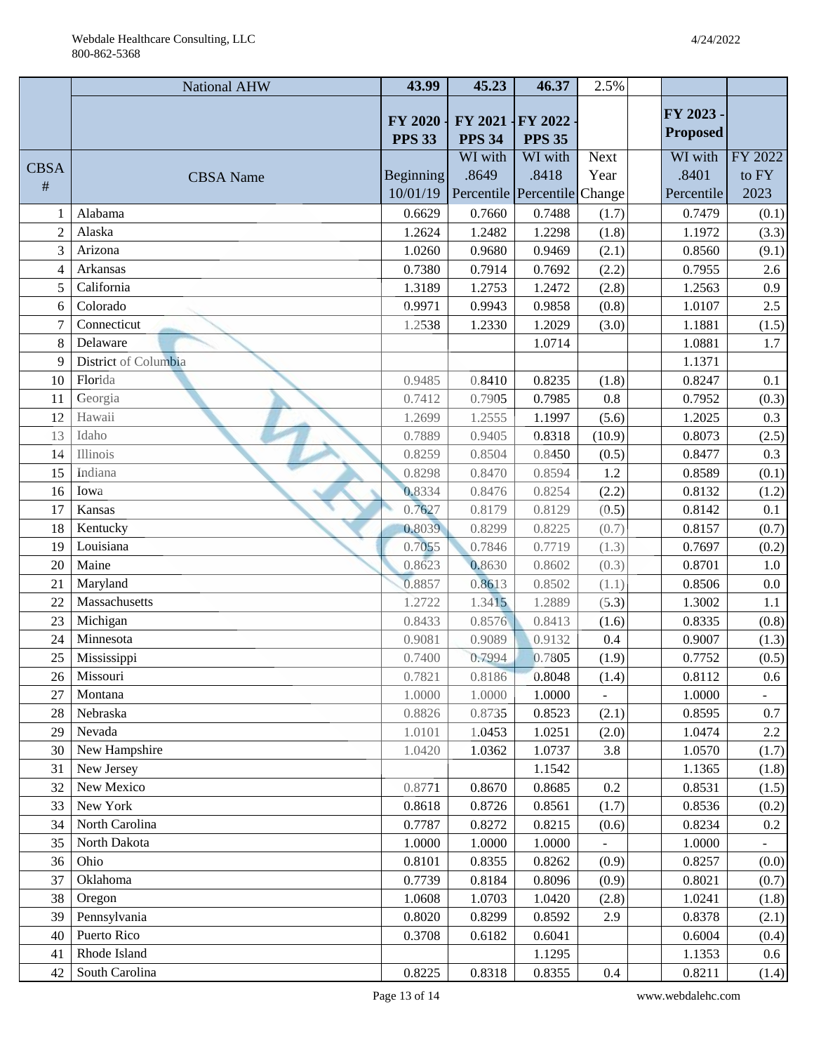|                | <b>National AHW</b>  | 43.99                           | 45.23                        | 46.37                    | 2.5%        |                  |                |
|----------------|----------------------|---------------------------------|------------------------------|--------------------------|-------------|------------------|----------------|
|                |                      |                                 |                              |                          |             | FY 2023 -        |                |
|                |                      | <b>FY 2020</b><br><b>PPS 33</b> | FY 2021<br><b>PPS 34</b>     | $\textbf{FY } 2022$      |             | <b>Proposed</b>  |                |
|                |                      |                                 | WI with                      | <b>PPS 35</b><br>WI with | <b>Next</b> | WI with          | FY 2022        |
| <b>CBSA</b>    | <b>CBSA</b> Name     | Beginning                       | .8649                        | .8418                    | Year        | .8401            | to FY          |
| $\#$           |                      | 10/01/19                        | Percentile Percentile Change |                          |             | Percentile       | 2023           |
| $\mathbf{1}$   | Alabama              | 0.6629                          | 0.7660                       | 0.7488                   | (1.7)       | 0.7479           | (0.1)          |
| $\overline{2}$ | Alaska               | 1.2624                          | 1.2482                       | 1.2298                   | (1.8)       | 1.1972           | (3.3)          |
| 3              | Arizona              | 1.0260                          | 0.9680                       | 0.9469                   | (2.1)       | 0.8560           | (9.1)          |
| $\overline{4}$ | Arkansas             | 0.7380                          | 0.7914                       | 0.7692                   | (2.2)       | 0.7955           | 2.6            |
| 5              | California           | 1.3189                          | 1.2753                       | 1.2472                   | (2.8)       | 1.2563           | $0.9\,$        |
| 6              | Colorado             | 0.9971                          | 0.9943                       | 0.9858                   | (0.8)       | 1.0107           | 2.5            |
| $\overline{7}$ | Connecticut          | 1.2538                          | 1.2330                       | 1.2029                   | (3.0)       | 1.1881           | (1.5)          |
| 8              | Delaware             |                                 |                              | 1.0714                   |             | 1.0881           | 1.7            |
| 9              | District of Columbia |                                 |                              |                          |             | 1.1371           |                |
| 10             | Florida              | 0.9485                          | 0.8410                       | 0.8235                   | (1.8)       | 0.8247           | 0.1            |
| 11             | Georgia              | 0.7412                          | 0.7905                       | 0.7985                   | 0.8         | 0.7952           | (0.3)          |
| 12             | Hawaii               | 1.2699                          | 1.2555                       | 1.1997                   | (5.6)       | 1.2025           | 0.3            |
| 13             | Idaho                | 0.7889                          | 0.9405                       | 0.8318                   | (10.9)      | 0.8073           | (2.5)          |
| 14             | Illinois             | 0.8259                          | 0.8504                       | 0.8450                   | (0.5)       | 0.8477           | 0.3            |
| 15             | Indiana              | 0.8298                          | 0.8470                       | 0.8594                   | 1.2         | 0.8589           | (0.1)          |
| 16             | Iowa                 | 0.8334                          | 0.8476                       | 0.8254                   | (2.2)       | 0.8132           | (1.2)          |
| 17             | Kansas               | 0.7627                          | 0.8179                       | 0.8129                   | (0.5)       | 0.8142           | 0.1            |
| 18             | Kentucky             | 0.8039                          | 0.8299                       | 0.8225                   | (0.7)       | 0.8157           | (0.7)          |
| 19             | Louisiana            | 0.7055                          | 0.7846                       | 0.7719                   | (1.3)       | 0.7697           | (0.2)          |
| 20             | Maine                | 0.8623                          | 0.8630                       | 0.8602                   | (0.3)       | 0.8701           | 1.0            |
| 21             | Maryland             | 0.8857                          | 0.8613                       | 0.8502                   | (1.1)       | 0.8506           | 0.0            |
| 22             | Massachusetts        | 1.2722                          | 1.3415                       | 1.2889                   | (5.3)       | 1.3002           | 1.1            |
| 23             | Michigan             | 0.8433                          | 0.8576                       | 0.8413                   | (1.6)       | 0.8335           | (0.8)          |
| 24             | Minnesota            | 0.9081                          | 0.9089                       | 0.9132                   | 0.4         | 0.9007           | (1.3)          |
| 25             | Mississippi          | 0.7400                          | 0.7994                       | 0.7805                   | (1.9)       | 0.7752           | (0.5)          |
| 26             | Missouri             | 0.7821                          | 0.8186                       | 0.8048                   | (1.4)       | 0.8112           | $0.6\,$        |
| 27             | Montana              | 1.0000                          | 1.0000                       | 1.0000                   |             | 1.0000           |                |
| 28             | Nebraska             | 0.8826                          | 0.8735                       | 0.8523                   | (2.1)       | 0.8595           | 0.7            |
| 29             | Nevada               | 1.0101                          | 1.0453                       | 1.0251                   | (2.0)       | 1.0474           | $2.2\,$        |
| 30             | New Hampshire        | 1.0420                          | 1.0362                       | 1.0737                   | 3.8         | 1.0570           | (1.7)          |
| 31             | New Jersey           |                                 |                              | 1.1542                   |             | 1.1365           | (1.8)          |
| 32             | New Mexico           | 0.8771                          | 0.8670                       | 0.8685                   | 0.2         | 0.8531           | (1.5)          |
| 33             | New York             | 0.8618                          | 0.8726                       | 0.8561                   | (1.7)       | 0.8536           | (0.2)          |
| 34             | North Carolina       | 0.7787                          | 0.8272                       | 0.8215                   | (0.6)       | 0.8234           | $0.2\,$        |
| 35             | North Dakota<br>Ohio | 1.0000                          | 1.0000                       | 1.0000                   | (0.9)       | 1.0000           |                |
| 36<br>37       | Oklahoma             | 0.8101<br>0.7739                | 0.8355<br>0.8184             | 0.8262<br>0.8096         | (0.9)       | 0.8257<br>0.8021 | (0.0)          |
| 38             | Oregon               | 1.0608                          | 1.0703                       | 1.0420                   | (2.8)       | 1.0241           | (0.7)<br>(1.8) |
| 39             | Pennsylvania         | 0.8020                          | 0.8299                       | 0.8592                   | 2.9         | 0.8378           | (2.1)          |
| 40             | Puerto Rico          | 0.3708                          | 0.6182                       | 0.6041                   |             | 0.6004           | (0.4)          |
| 41             | Rhode Island         |                                 |                              | 1.1295                   |             | 1.1353           | $0.6\,$        |
| 42             | South Carolina       | 0.8225                          | 0.8318                       | 0.8355                   | $0.4\,$     | 0.8211           | (1.4)          |